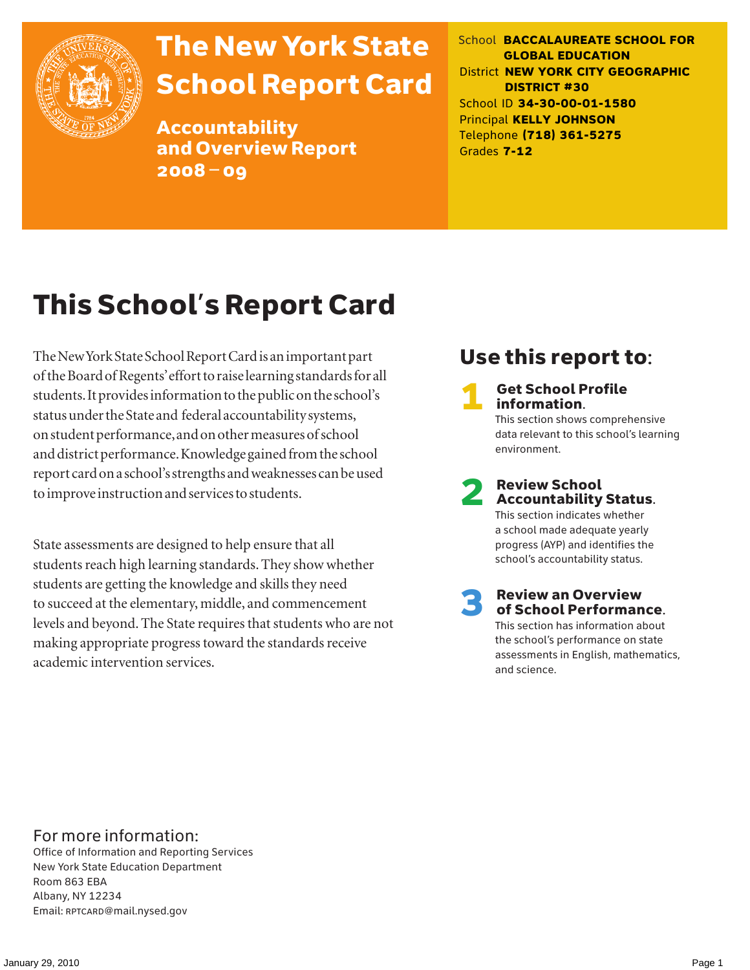

# The New York State School Report Card

Accountability and Overview Report 2008–09

School **BACCALAUREATE SCHOOL FOR GLOBAL EDUCATION** District **NEW YORK CITY GEOGRAPHIC DISTRICT #30** School ID **34-30-00-01-1580** Principal **KELLY JOHNSON** Telephone **(718) 361-5275** Grades **7-12**

# This School's Report Card

The New York State School Report Card is an important part of the Board of Regents' effort to raise learning standards for all students. It provides information to the public on the school's status under the State and federal accountability systems, on student performance, and on other measures of school and district performance. Knowledge gained from the school report card on a school's strengths and weaknesses can be used to improve instruction and services to students.

State assessments are designed to help ensure that all students reach high learning standards. They show whether students are getting the knowledge and skills they need to succeed at the elementary, middle, and commencement levels and beyond. The State requires that students who are not making appropriate progress toward the standards receive academic intervention services.

# Use this report to:

**Get School Profile** information. This section shows comprehensive data relevant to this school's learning environment.

2 Review School Accountability Status.

This section indicates whether a school made adequate yearly progress (AYP) and identifies the school's accountability status.

3 Review an Overview of School Performance. This section has information about the school's performance on state assessments in English, mathematics,

and science.

For more information:

Office of Information and Reporting Services New York State Education Department Room 863 EBA Albany, NY 12234 Email: RPTCARD@mail.nysed.gov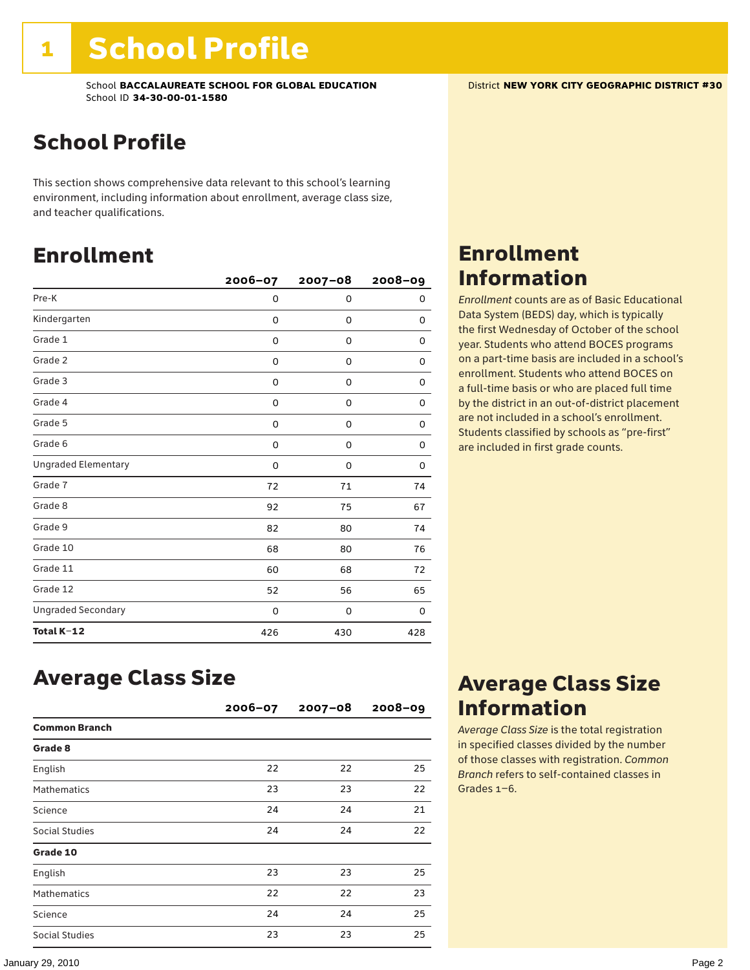### School Profile

This section shows comprehensive data relevant to this school's learning environment, including information about enrollment, average class size, and teacher qualifications.

### Enrollment

|                            | 2006-07  | $2007 - 08$ | $2008 - 09$ |
|----------------------------|----------|-------------|-------------|
| Pre-K                      | 0        | 0           | 0           |
| Kindergarten               | 0        | 0           | 0           |
| Grade 1                    | 0        | 0           | 0           |
| Grade 2                    | 0        | 0           | 0           |
| Grade 3                    | 0        | 0           | 0           |
| Grade 4                    | 0        | 0           | 0           |
| Grade 5                    | 0        | 0           | 0           |
| Grade 6                    | 0        | 0           | 0           |
| <b>Ungraded Elementary</b> | $\Omega$ | 0           | 0           |
| Grade 7                    | 72       | 71          | 74          |
| Grade 8                    | 92       | 75          | 67          |
| Grade 9                    | 82       | 80          | 74          |
| Grade 10                   | 68       | 80          | 76          |
| Grade 11                   | 60       | 68          | 72          |
| Grade 12                   | 52       | 56          | 65          |
| <b>Ungraded Secondary</b>  | 0        | 0           | 0           |
| Total K-12                 | 426      | 430         | 428         |

### Enrollment Information

*Enrollment* counts are as of Basic Educational Data System (BEDS) day, which is typically the first Wednesday of October of the school year. Students who attend BOCES programs on a part-time basis are included in a school's enrollment. Students who attend BOCES on a full-time basis or who are placed full time by the district in an out-of-district placement are not included in a school's enrollment. Students classified by schools as "pre-first" are included in first grade counts.

### Average Class Size

|                      | $2006 - 07$ | $2007 - 08$ | $2008 - 09$ |
|----------------------|-------------|-------------|-------------|
| <b>Common Branch</b> |             |             |             |
| Grade 8              |             |             |             |
| English              | 22          | 22          | 25          |
| <b>Mathematics</b>   | 23          | 23          | 22          |
| Science              | 24          | 24          | 21          |
| Social Studies       | 24          | 24          | 22          |
| Grade 10             |             |             |             |
| English              | 23          | 23          | 25          |
| <b>Mathematics</b>   | 22          | 22          | 23          |
| Science              | 24          | 24          | 25          |
| Social Studies       | 23          | 23          | 25          |

### Average Class Size Information

*Average Class Size* is the total registration in specified classes divided by the number of those classes with registration. *Common Branch* refers to self-contained classes in Grades 1–6.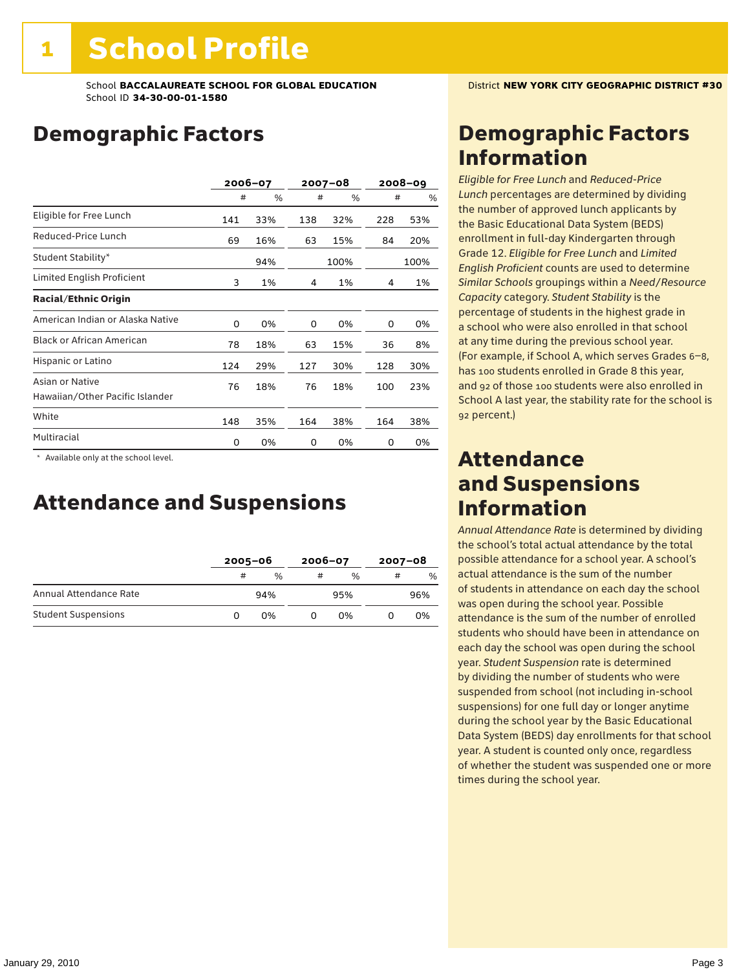# Demographic Factors

|                                                    | 2006-07 |     |     | 2007-08 |     | $2008 - 09$ |
|----------------------------------------------------|---------|-----|-----|---------|-----|-------------|
|                                                    | #       | %   | #   | %       | #   | %           |
| Eligible for Free Lunch                            | 141     | 33% | 138 | 32%     | 228 | 53%         |
| Reduced-Price Lunch                                | 69      | 16% | 63  | 15%     | 84  | 20%         |
| Student Stability*                                 |         | 94% |     | 100%    |     | 100%        |
| Limited English Proficient                         | 3       | 1%  | 4   | 1%      | 4   | 1%          |
| <b>Racial/Ethnic Origin</b>                        |         |     |     |         |     |             |
| American Indian or Alaska Native                   | 0       | 0%  | 0   | 0%      | 0   | 0%          |
| <b>Black or African American</b>                   | 78      | 18% | 63  | 15%     | 36  | 8%          |
| Hispanic or Latino                                 | 124     | 29% | 127 | 30%     | 128 | 30%         |
| Asian or Native<br>Hawaiian/Other Pacific Islander | 76      | 18% | 76  | 18%     | 100 | 23%         |
| White                                              | 148     | 35% | 164 | 38%     | 164 | 38%         |
| Multiracial                                        | 0       | 0%  | 0   | 0%      | 0   | 0%          |

\* Available only at the school level.

### Attendance and Suspensions

|                            |   | $2005 - 06$   |   | $2006 - 07$ |   | $2007 - 08$   |  |
|----------------------------|---|---------------|---|-------------|---|---------------|--|
|                            | # | $\frac{0}{0}$ | # | %           | # | $\frac{0}{6}$ |  |
| Annual Attendance Rate     |   | 94%           |   | 95%         |   | 96%           |  |
| <b>Student Suspensions</b> |   | 0%            |   | በ%          |   | 0%            |  |

# Demographic Factors Information

*Eligible for Free Lunch* and *Reduced*-*Price Lunch* percentages are determined by dividing the number of approved lunch applicants by the Basic Educational Data System (BEDS) enrollment in full-day Kindergarten through Grade 12. *Eligible for Free Lunch* and *Limited English Proficient* counts are used to determine *Similar Schools* groupings within a *Need*/*Resource Capacity* category. *Student Stability* is the percentage of students in the highest grade in a school who were also enrolled in that school at any time during the previous school year. (For example, if School A, which serves Grades 6–8, has 100 students enrolled in Grade 8 this year, and 92 of those 100 students were also enrolled in School A last year, the stability rate for the school is 92 percent.)

### Attendance and Suspensions Information

*Annual Attendance Rate* is determined by dividing the school's total actual attendance by the total possible attendance for a school year. A school's actual attendance is the sum of the number of students in attendance on each day the school was open during the school year. Possible attendance is the sum of the number of enrolled students who should have been in attendance on each day the school was open during the school year. *Student Suspension* rate is determined by dividing the number of students who were suspended from school (not including in-school suspensions) for one full day or longer anytime during the school year by the Basic Educational Data System (BEDS) day enrollments for that school year. A student is counted only once, regardless of whether the student was suspended one or more times during the school year.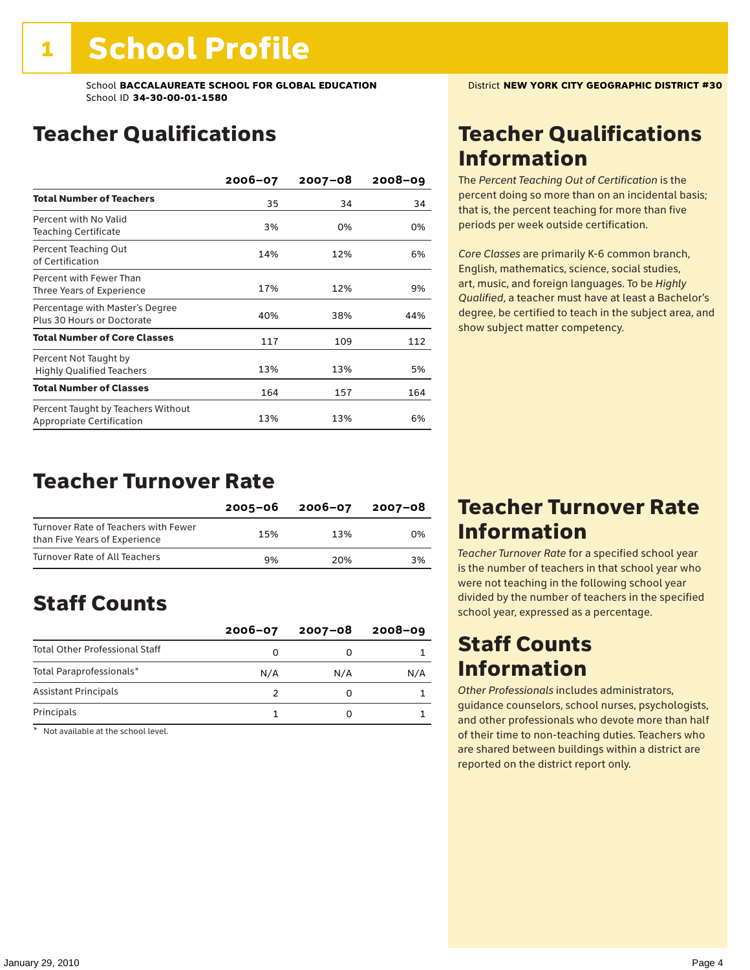# Teacher Qualifications

|                                                                 | 2006-07 | $2007 - 08$ | $2008 - 09$ |
|-----------------------------------------------------------------|---------|-------------|-------------|
| <b>Total Number of Teachers</b>                                 | 35      | 34          | 34          |
| Percent with No Valid<br>Teaching Certificate                   | 3%      | 0%          | 0%          |
| Percent Teaching Out<br>of Certification                        | 14%     | 12%         | 6%          |
| Percent with Fewer Than<br>Three Years of Experience            | 17%     | 12%         | 9%          |
| Percentage with Master's Degree<br>Plus 30 Hours or Doctorate   | 40%     | 38%         | 44%         |
| <b>Total Number of Core Classes</b>                             | 117     | 109         | 112         |
| Percent Not Taught by<br><b>Highly Qualified Teachers</b>       | 13%     | 13%         | 5%          |
| <b>Total Number of Classes</b>                                  | 164     | 157         | 164         |
| Percent Taught by Teachers Without<br>Appropriate Certification | 13%     | 13%         | 6%          |

### Teacher Turnover Rate

|                                                                       | 2005-06 | 2006-07 | 2007-08 |
|-----------------------------------------------------------------------|---------|---------|---------|
| Turnover Rate of Teachers with Fewer<br>than Five Years of Experience | 15%     | 13%     | 0%      |
| Turnover Rate of All Teachers                                         | 9%      | 20%     | 3%      |

# Staff Counts

|                                       | $2006 - 07$ | $2007 - 08$ | $2008 - 09$ |
|---------------------------------------|-------------|-------------|-------------|
| <b>Total Other Professional Staff</b> |             |             |             |
| Total Paraprofessionals*              | N/A         | N/A         | N/A         |
| <b>Assistant Principals</b>           |             |             |             |
| Principals                            |             |             |             |

\* Not available at the school level.

## Teacher Qualifications Information

The *Percent Teaching Out of Certification* is the percent doing so more than on an incidental basis; that is, the percent teaching for more than five periods per week outside certification.

*Core Classes* are primarily K-6 common branch, English, mathematics, science, social studies, art, music, and foreign languages. To be *Highly Qualified*, a teacher must have at least a Bachelor's degree, be certified to teach in the subject area, and show subject matter competency.

### Teacher Turnover Rate Information

*Teacher Turnover Rate* for a specified school year is the number of teachers in that school year who were not teaching in the following school year divided by the number of teachers in the specified school year, expressed as a percentage.

### Staff Counts Information

*Other Professionals* includes administrators, guidance counselors, school nurses, psychologists, and other professionals who devote more than half of their time to non-teaching duties. Teachers who are shared between buildings within a district are reported on the district report only.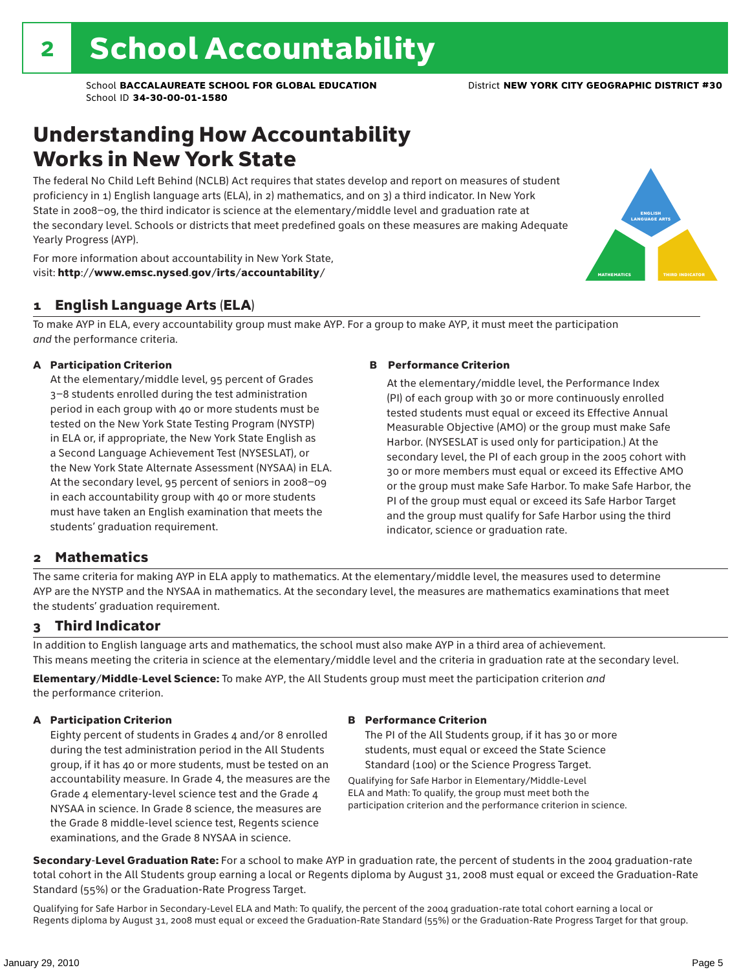### Understanding How Accountability Works in New York State

The federal No Child Left Behind (NCLB) Act requires that states develop and report on measures of student proficiency in 1) English language arts (ELA), in 2) mathematics, and on 3) a third indicator. In New York State in 2008–09, the third indicator is science at the elementary/middle level and graduation rate at the secondary level. Schools or districts that meet predefined goals on these measures are making Adequate Yearly Progress (AYP).



For more information about accountability in New York State, visit: http://www.emsc.nysed.gov/irts/accountability/

### 1 English Language Arts (ELA)

To make AYP in ELA, every accountability group must make AYP. For a group to make AYP, it must meet the participation *and* the performance criteria.

### A Participation Criterion

At the elementary/middle level, 95 percent of Grades 3–8 students enrolled during the test administration period in each group with 40 or more students must be tested on the New York State Testing Program (NYSTP) in ELA or, if appropriate, the New York State English as a Second Language Achievement Test (NYSESLAT), or the New York State Alternate Assessment (NYSAA) in ELA. At the secondary level, 95 percent of seniors in 2008–09 in each accountability group with 40 or more students must have taken an English examination that meets the students' graduation requirement.

#### B Performance Criterion

At the elementary/middle level, the Performance Index (PI) of each group with 30 or more continuously enrolled tested students must equal or exceed its Effective Annual Measurable Objective (AMO) or the group must make Safe Harbor. (NYSESLAT is used only for participation.) At the secondary level, the PI of each group in the 2005 cohort with 30 or more members must equal or exceed its Effective AMO or the group must make Safe Harbor. To make Safe Harbor, the PI of the group must equal or exceed its Safe Harbor Target and the group must qualify for Safe Harbor using the third indicator, science or graduation rate.

### 2 Mathematics

The same criteria for making AYP in ELA apply to mathematics. At the elementary/middle level, the measures used to determine AYP are the NYSTP and the NYSAA in mathematics. At the secondary level, the measures are mathematics examinations that meet the students' graduation requirement.

### 3 Third Indicator

In addition to English language arts and mathematics, the school must also make AYP in a third area of achievement. This means meeting the criteria in science at the elementary/middle level and the criteria in graduation rate at the secondary level.

Elementary/Middle-Level Science: To make AYP, the All Students group must meet the participation criterion *and* the performance criterion.

#### A Participation Criterion

Eighty percent of students in Grades 4 and/or 8 enrolled during the test administration period in the All Students group, if it has 40 or more students, must be tested on an accountability measure. In Grade 4, the measures are the Grade 4 elementary-level science test and the Grade 4 NYSAA in science. In Grade 8 science, the measures are the Grade 8 middle-level science test, Regents science examinations, and the Grade 8 NYSAA in science.

#### B Performance Criterion

The PI of the All Students group, if it has 30 or more students, must equal or exceed the State Science Standard (100) or the Science Progress Target.

Qualifying for Safe Harbor in Elementary/Middle-Level ELA and Math: To qualify, the group must meet both the participation criterion and the performance criterion in science.

Secondary-Level Graduation Rate: For a school to make AYP in graduation rate, the percent of students in the 2004 graduation-rate total cohort in the All Students group earning a local or Regents diploma by August 31, 2008 must equal or exceed the Graduation-Rate Standard (55%) or the Graduation-Rate Progress Target.

Qualifying for Safe Harbor in Secondary-Level ELA and Math: To qualify, the percent of the 2004 graduation-rate total cohort earning a local or Regents diploma by August 31, 2008 must equal or exceed the Graduation-Rate Standard (55%) or the Graduation-Rate Progress Target for that group.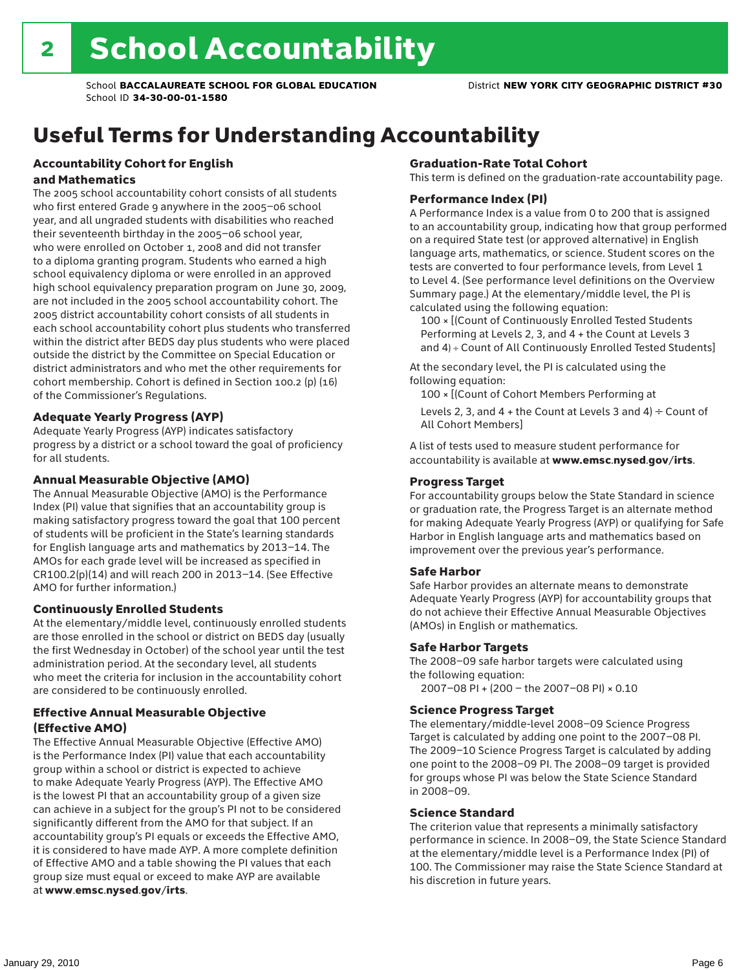# Useful Terms for Understanding Accountability

### Accountability Cohort for English and Mathematics

The 2005 school accountability cohort consists of all students who first entered Grade 9 anywhere in the 2005–06 school year, and all ungraded students with disabilities who reached their seventeenth birthday in the 2005–06 school year, who were enrolled on October 1, 2008 and did not transfer to a diploma granting program. Students who earned a high school equivalency diploma or were enrolled in an approved high school equivalency preparation program on June 30, 2009, are not included in the 2005 school accountability cohort. The 2005 district accountability cohort consists of all students in each school accountability cohort plus students who transferred within the district after BEDS day plus students who were placed outside the district by the Committee on Special Education or district administrators and who met the other requirements for cohort membership. Cohort is defined in Section 100.2 (p) (16) of the Commissioner's Regulations.

### Adequate Yearly Progress (AYP)

Adequate Yearly Progress (AYP) indicates satisfactory progress by a district or a school toward the goal of proficiency for all students.

### Annual Measurable Objective (AMO)

The Annual Measurable Objective (AMO) is the Performance Index (PI) value that signifies that an accountability group is making satisfactory progress toward the goal that 100 percent of students will be proficient in the State's learning standards for English language arts and mathematics by 2013–14. The AMOs for each grade level will be increased as specified in CR100.2(p)(14) and will reach 200 in 2013–14. (See Effective AMO for further information.)

### Continuously Enrolled Students

At the elementary/middle level, continuously enrolled students are those enrolled in the school or district on BEDS day (usually the first Wednesday in October) of the school year until the test administration period. At the secondary level, all students who meet the criteria for inclusion in the accountability cohort are considered to be continuously enrolled.

### Effective Annual Measurable Objective (Effective AMO)

The Effective Annual Measurable Objective (Effective AMO) is the Performance Index (PI) value that each accountability group within a school or district is expected to achieve to make Adequate Yearly Progress (AYP). The Effective AMO is the lowest PI that an accountability group of a given size can achieve in a subject for the group's PI not to be considered significantly different from the AMO for that subject. If an accountability group's PI equals or exceeds the Effective AMO, it is considered to have made AYP. A more complete definition of Effective AMO and a table showing the PI values that each group size must equal or exceed to make AYP are available at www.emsc.nysed.gov/irts.

### Graduation-Rate Total Cohort

This term is defined on the graduation-rate accountability page.

#### Performance Index (PI)

A Performance Index is a value from 0 to 200 that is assigned to an accountability group, indicating how that group performed on a required State test (or approved alternative) in English language arts, mathematics, or science. Student scores on the tests are converted to four performance levels, from Level 1 to Level 4. (See performance level definitions on the Overview Summary page.) At the elementary/middle level, the PI is calculated using the following equation:

100 × [(Count of Continuously Enrolled Tested Students Performing at Levels 2, 3, and 4 + the Count at Levels 3 and 4) ÷ Count of All Continuously Enrolled Tested Students]

At the secondary level, the PI is calculated using the following equation:

100 × [(Count of Cohort Members Performing at

Levels 2, 3, and 4 + the Count at Levels 3 and 4)  $\div$  Count of All Cohort Members]

A list of tests used to measure student performance for accountability is available at www.emsc.nysed.gov/irts.

### Progress Target

For accountability groups below the State Standard in science or graduation rate, the Progress Target is an alternate method for making Adequate Yearly Progress (AYP) or qualifying for Safe Harbor in English language arts and mathematics based on improvement over the previous year's performance.

#### Safe Harbor

Safe Harbor provides an alternate means to demonstrate Adequate Yearly Progress (AYP) for accountability groups that do not achieve their Effective Annual Measurable Objectives (AMOs) in English or mathematics.

#### Safe Harbor Targets

The 2008–09 safe harbor targets were calculated using the following equation:

2007–08 PI + (200 – the 2007–08 PI) × 0.10

#### Science Progress Target

The elementary/middle-level 2008–09 Science Progress Target is calculated by adding one point to the 2007–08 PI. The 2009–10 Science Progress Target is calculated by adding one point to the 2008–09 PI. The 2008–09 target is provided for groups whose PI was below the State Science Standard in 2008–09.

#### Science Standard

The criterion value that represents a minimally satisfactory performance in science. In 2008–09, the State Science Standard at the elementary/middle level is a Performance Index (PI) of 100. The Commissioner may raise the State Science Standard at his discretion in future years.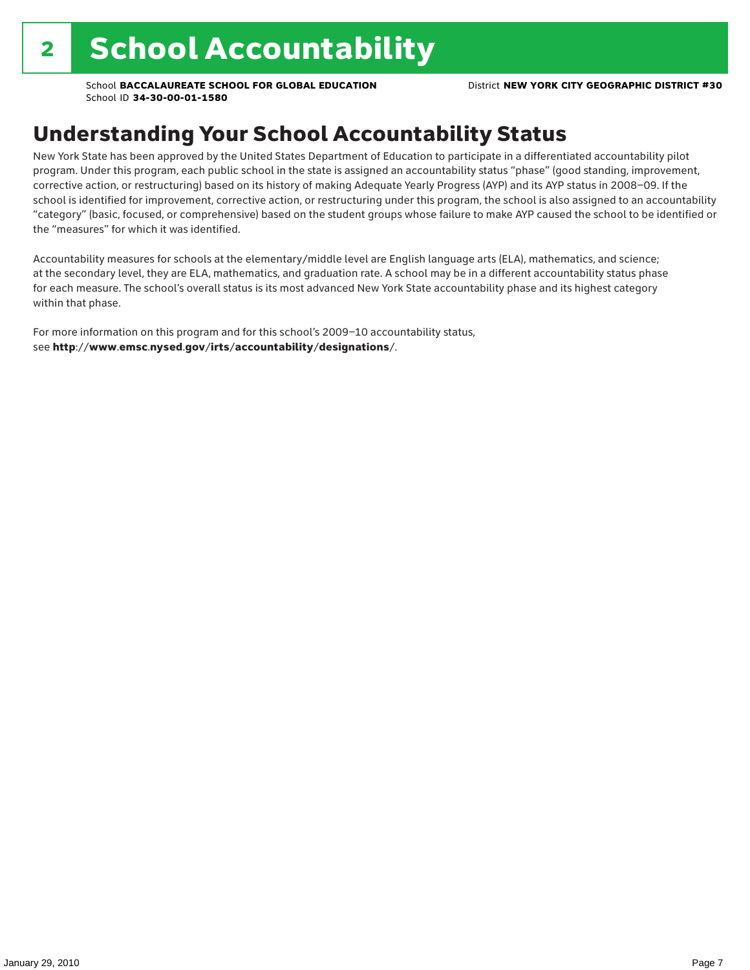# Understanding Your School Accountability Status

New York State has been approved by the United States Department of Education to participate in a differentiated accountability pilot program. Under this program, each public school in the state is assigned an accountability status "phase" (good standing, improvement, corrective action, or restructuring) based on its history of making Adequate Yearly Progress (AYP) and its AYP status in 2008–09. If the school is identified for improvement, corrective action, or restructuring under this program, the school is also assigned to an accountability "category" (basic, focused, or comprehensive) based on the student groups whose failure to make AYP caused the school to be identified or the "measures" for which it was identified.

Accountability measures for schools at the elementary/middle level are English language arts (ELA), mathematics, and science; at the secondary level, they are ELA, mathematics, and graduation rate. A school may be in a different accountability status phase for each measure. The school's overall status is its most advanced New York State accountability phase and its highest category within that phase.

For more information on this program and for this school's 2009–10 accountability status, see http://www.emsc.nysed.gov/irts/accountability/designations/.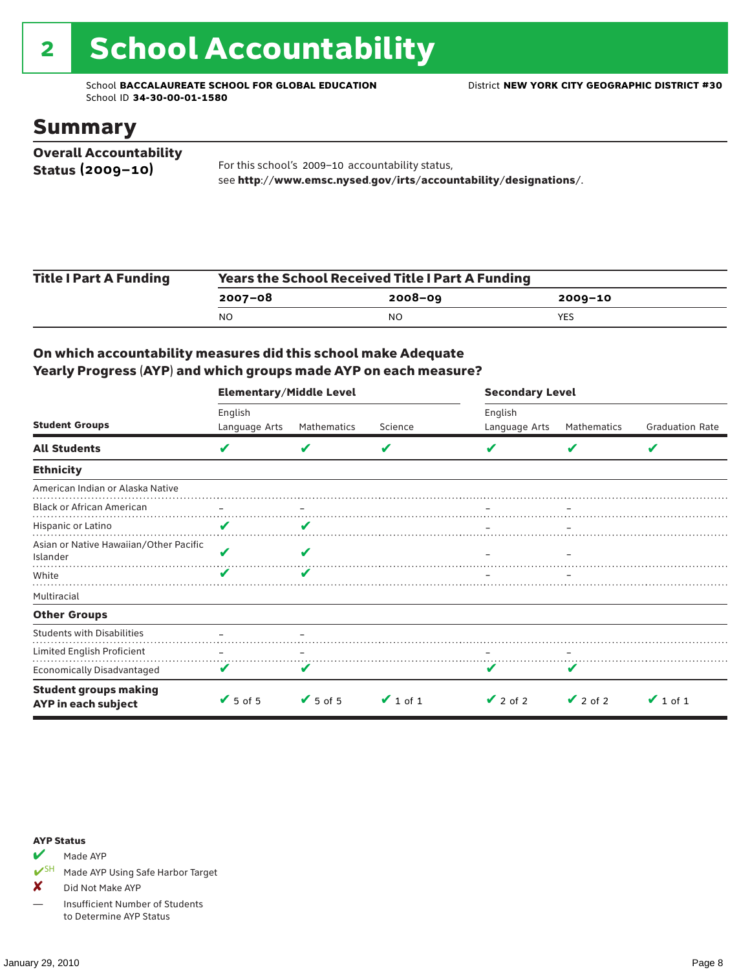# 2 School Accountability

School **BACCALAUREATE SCHOOL FOR GLOBAL EDUCATION** District **NEW YORK CITY GEOGRAPHIC DISTRICT #30** School ID **34-30-00-01-1580**

### Summary

| <b>Overall Accountability</b> |                                                                  |
|-------------------------------|------------------------------------------------------------------|
| Status $(2009 - 10)$          | For this school's 2009-10 accountability status,                 |
|                               | see http://www.emsc.nysed.gov/irts/accountability/designations/. |

| <b>Title I Part A Funding</b> | <b>Years the School Received Title I Part A Funding</b> |             |             |  |  |
|-------------------------------|---------------------------------------------------------|-------------|-------------|--|--|
|                               | $2007 - 08$                                             | $2008 - 09$ | $2009 - 10$ |  |  |
|                               | N <sub>O</sub>                                          | NO          | YES         |  |  |

### On which accountability measures did this school make Adequate Yearly Progress (AYP) and which groups made AYP on each measure?

|                                                     | <b>Elementary/Middle Level</b> |                         |               |                          | <b>Secondary Level</b> |                        |  |  |
|-----------------------------------------------------|--------------------------------|-------------------------|---------------|--------------------------|------------------------|------------------------|--|--|
| <b>Student Groups</b>                               | English<br>Language Arts       | Mathematics             | Science       | English<br>Language Arts | Mathematics            | <b>Graduation Rate</b> |  |  |
| <b>All Students</b>                                 | V                              | v                       | V             |                          | v                      | V                      |  |  |
| <b>Ethnicity</b>                                    |                                |                         |               |                          |                        |                        |  |  |
| American Indian or Alaska Native                    |                                |                         |               |                          |                        |                        |  |  |
| <b>Black or African American</b>                    |                                |                         |               |                          |                        |                        |  |  |
| Hispanic or Latino                                  | V                              |                         |               |                          |                        |                        |  |  |
| Asian or Native Hawaiian/Other Pacific<br>Islander  | V                              |                         |               |                          |                        |                        |  |  |
| White                                               | v                              | $\overline{\mathbf{v}}$ |               |                          |                        |                        |  |  |
| Multiracial                                         |                                |                         |               |                          |                        |                        |  |  |
| <b>Other Groups</b>                                 |                                |                         |               |                          |                        |                        |  |  |
| <b>Students with Disabilities</b>                   |                                |                         |               |                          |                        |                        |  |  |
| Limited English Proficient                          |                                |                         |               |                          |                        |                        |  |  |
| Economically Disadvantaged                          | V                              | V                       |               |                          | v                      |                        |  |  |
| <b>Student groups making</b><br>AYP in each subject | $\sqrt{5}$ of 5                | $\sqrt{5}$ of 5         | $\vee$ 1 of 1 | $\vee$ 2 of 2            | $\vee$ 2 of 2          | $\vee$ 1 of 1          |  |  |

#### AYP Status

Made AYP

✔SH Made AYP Using Safe Harbor Target

X Did Not Make AYP

— Insufficient Number of Students to Determine AYP Status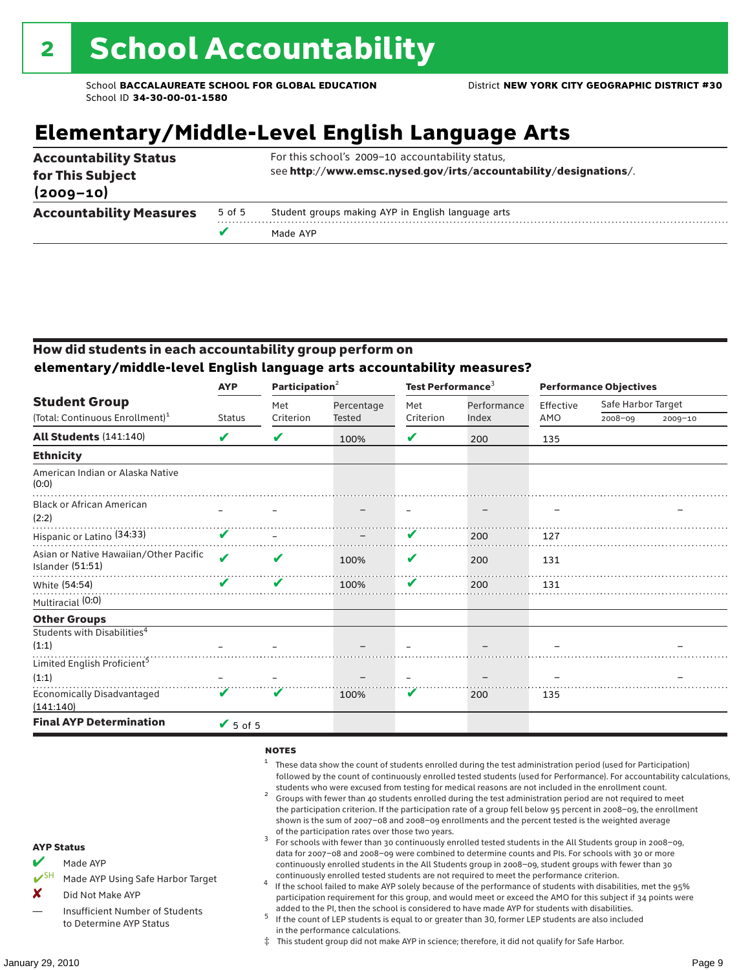# **Elementary/Middle-Level English Language Arts**

| for This Subject<br>$(2009 - 10)$ |        |                                                    |
|-----------------------------------|--------|----------------------------------------------------|
| <b>Accountability Measures</b>    | 5 of 5 | Student groups making AYP in English language arts |
|                                   |        | Made AYP                                           |

### How did students in each accountability group perform on **elementary/middle-level English language arts accountability measures?**

|                                                                     | <b>AYP</b>                 | Participation <sup>2</sup> |                             | Test Performance <sup>3</sup> |                      | <b>Performance Objectives</b> |                    |         |
|---------------------------------------------------------------------|----------------------------|----------------------------|-----------------------------|-------------------------------|----------------------|-------------------------------|--------------------|---------|
| <b>Student Group</b><br>(Total: Continuous Enrollment) <sup>1</sup> | <b>Status</b>              | Met<br>Criterion           | Percentage<br><b>Tested</b> | Met<br>Criterion              | Performance<br>Index | Effective<br>AMO              | Safe Harbor Target |         |
|                                                                     |                            |                            |                             |                               |                      |                               | $2008 - 09$        | 2009-10 |
| All Students (141:140)                                              | V                          | V                          | 100%                        | ✔                             | 200                  | 135                           |                    |         |
| <b>Ethnicity</b>                                                    |                            |                            |                             |                               |                      |                               |                    |         |
| American Indian or Alaska Native<br>(0:0)                           |                            |                            |                             |                               |                      |                               |                    |         |
| <b>Black or African American</b><br>(2:2)                           |                            |                            |                             |                               |                      |                               |                    |         |
| Hispanic or Latino (34:33)                                          | V                          |                            |                             | V                             | 200                  | 127                           |                    |         |
| Asian or Native Hawaiian/Other Pacific<br><b>Islander (51:51)</b>   | $\boldsymbol{\mathcal{L}}$ | V                          | 100%                        | V                             | 200                  | 131                           |                    |         |
| White (54:54)                                                       | V                          | ✔                          | 100%                        | V                             | 200                  | 131                           |                    |         |
| Multiracial (0:0)                                                   |                            |                            |                             |                               |                      |                               |                    |         |
| <b>Other Groups</b>                                                 |                            |                            |                             |                               |                      |                               |                    |         |
| Students with Disabilities <sup>4</sup>                             |                            |                            |                             |                               |                      |                               |                    |         |
| (1:1)                                                               |                            |                            |                             |                               |                      |                               |                    |         |
| Limited English Proficient <sup>5</sup>                             |                            |                            |                             |                               |                      |                               |                    |         |
| (1:1)                                                               |                            |                            |                             |                               |                      |                               |                    |         |
| <b>Economically Disadvantaged</b><br>(141:140)                      | V                          | V                          | 100%                        | V                             | 200                  | 135                           |                    |         |
| <b>Final AYP Determination</b>                                      | $\sqrt{5}$ of 5            |                            |                             |                               |                      |                               |                    |         |

#### **NOTES**

- <sup>1</sup> These data show the count of students enrolled during the test administration period (used for Participation) followed by the count of continuously enrolled tested students (used for Performance). For accountability calculations,
- students who were excused from testing for medical reasons are not included in the enrollment count. <sup>2</sup> Groups with fewer than 40 students enrolled during the test administration period are not required to meet the participation criterion. If the participation rate of a group fell below 95 percent in 2008–09, the enrollment shown is the sum of 2007–08 and 2008–09 enrollments and the percent tested is the weighted average
- of the participation rates over those two years.<br><sup>3</sup> For schools with fewer than 30 continuously enrolled tested students in the All Students group in 2008–09, data for 2007–08 and 2008–09 were combined to determine counts and PIs. For schools with 30 or more continuously enrolled students in the All Students group in 2008–09, student groups with fewer than 30
- continuously enrolled tested students are not required to meet the performance criterion. <sup>4</sup> If the school failed to make AYP solely because of the performance of students with disabilities, met the 95% participation requirement for this group, and would meet or exceed the AMO for this subject if 34 points were added to the PI, then the school is considered to have made AYP for students with disabilities.
- $5$  If the count of LEP students is equal to or greater than 30, former LEP students are also included in the performance calculations.
- ‡ This student group did not make AYP in science; therefore, it did not qualify for Safe Harbor.
- $M$  Made AYP
	- Made AYP Using Safe Harbor Target
- X Did Not Make AYP
- Insufficient Number of Students to Determine AYP Status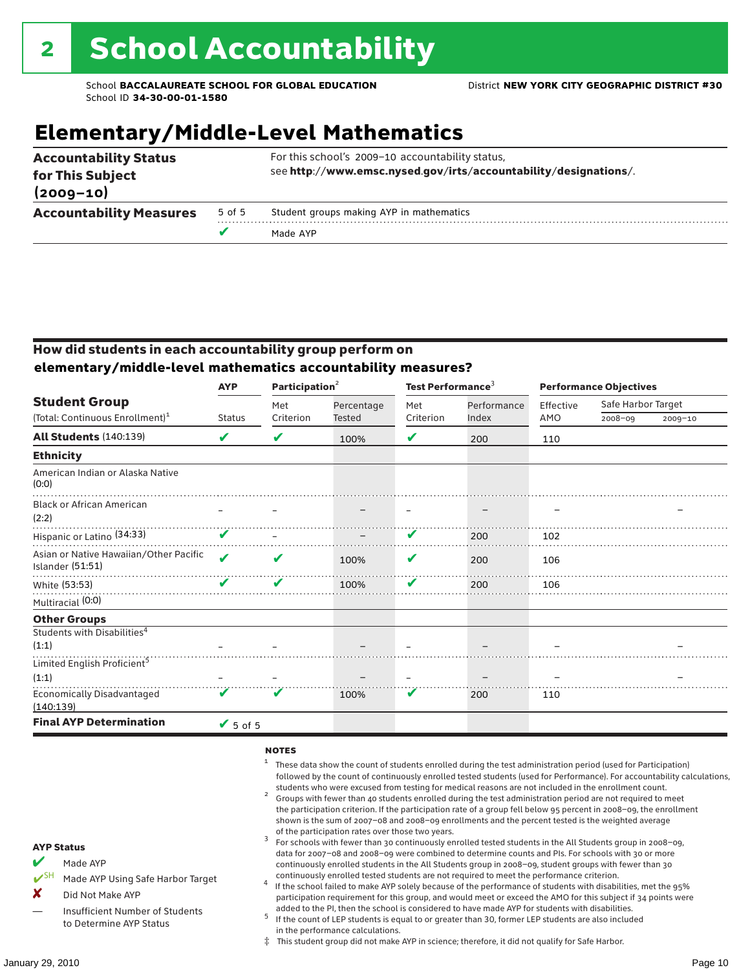# **Elementary/Middle-Level Mathematics**

| <b>Accountability Status</b><br>for This Subject<br>$(2009 - 10)$ |        | For this school's 2009-10 accountability status,<br>see http://www.emsc.nysed.gov/irts/accountability/designations/. |
|-------------------------------------------------------------------|--------|----------------------------------------------------------------------------------------------------------------------|
| <b>Accountability Measures</b>                                    | 5 of 5 | Student groups making AYP in mathematics                                                                             |
|                                                                   |        | Made AYP                                                                                                             |

### How did students in each accountability group perform on **elementary/middle-level mathematics accountability measures?**

|                                                            | <b>AYP</b>                 | Participation <sup>2</sup> |            | Test Performance <sup>3</sup> |             | <b>Performance Objectives</b> |                    |             |
|------------------------------------------------------------|----------------------------|----------------------------|------------|-------------------------------|-------------|-------------------------------|--------------------|-------------|
| <b>Student Group</b>                                       |                            | Met                        | Percentage | Met                           | Performance | Effective                     | Safe Harbor Target |             |
| (Total: Continuous Enrollment) <sup>1</sup>                | <b>Status</b>              | Criterion                  | Tested     | Criterion                     | Index       | AMO                           | 2008-09            | $2009 - 10$ |
| <b>All Students (140:139)</b>                              | V                          | V                          | 100%       | ✔                             | 200         | 110                           |                    |             |
| <b>Ethnicity</b>                                           |                            |                            |            |                               |             |                               |                    |             |
| American Indian or Alaska Native<br>(0:0)                  |                            |                            |            |                               |             |                               |                    |             |
| <b>Black or African American</b><br>(2:2)                  |                            |                            |            |                               |             |                               |                    |             |
| Hispanic or Latino (34:33)                                 | V                          |                            |            | V                             | 200         | 102                           |                    |             |
| Asian or Native Hawaiian/Other Pacific<br>Islander (51:51) | $\boldsymbol{\mathcal{L}}$ | v                          | 100%       | V                             | 200         | 106                           |                    |             |
| White (53:53)                                              | V                          | V                          | 100%       | V                             | 200         | 106                           |                    |             |
| Multiracial (0:0)                                          |                            |                            |            |                               |             |                               |                    |             |
| <b>Other Groups</b>                                        |                            |                            |            |                               |             |                               |                    |             |
| Students with Disabilities <sup>4</sup>                    |                            |                            |            |                               |             |                               |                    |             |
| (1:1)                                                      |                            |                            |            |                               |             |                               |                    |             |
| Limited English Proficient <sup>5</sup>                    |                            |                            |            |                               |             |                               |                    |             |
| (1:1)                                                      |                            |                            |            |                               |             |                               |                    |             |
| <b>Economically Disadvantaged</b><br>(140:139)             | V                          |                            | 100%       | V                             | 200         | 110                           |                    |             |
| <b>Final AYP Determination</b>                             | $\sqrt{5}$ of 5            |                            |            |                               |             |                               |                    |             |

#### **NOTES**

- <sup>1</sup> These data show the count of students enrolled during the test administration period (used for Participation) followed by the count of continuously enrolled tested students (used for Performance). For accountability calculations,
- students who were excused from testing for medical reasons are not included in the enrollment count. <sup>2</sup> Groups with fewer than 40 students enrolled during the test administration period are not required to meet the participation criterion. If the participation rate of a group fell below 95 percent in 2008–09, the enrollment shown is the sum of 2007–08 and 2008–09 enrollments and the percent tested is the weighted average
- of the participation rates over those two years.<br><sup>3</sup> For schools with fewer than 30 continuously enrolled tested students in the All Students group in 2008–09, data for 2007–08 and 2008–09 were combined to determine counts and PIs. For schools with 30 or more continuously enrolled students in the All Students group in 2008–09, student groups with fewer than 30
- continuously enrolled tested students are not required to meet the performance criterion. <sup>4</sup> If the school failed to make AYP solely because of the performance of students with disabilities, met the 95% participation requirement for this group, and would meet or exceed the AMO for this subject if 34 points were added to the PI, then the school is considered to have made AYP for students with disabilities.
- $5$  If the count of LEP students is equal to or greater than 30, former LEP students are also included in the performance calculations.
- ‡ This student group did not make AYP in science; therefore, it did not qualify for Safe Harbor.
- $M$  Made AYP
	- Made AYP Using Safe Harbor Target
- X Did Not Make AYP
- Insufficient Number of Students to Determine AYP Status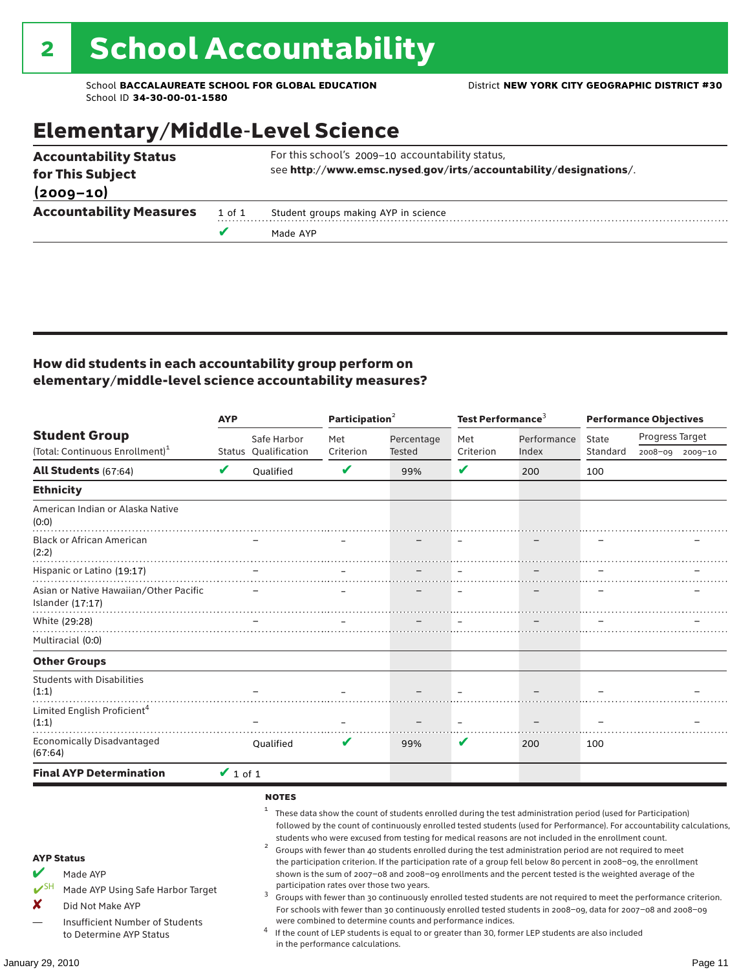# Elementary/Middle-Level Science

|                                                  |        | Made AYP                                                                                                             |
|--------------------------------------------------|--------|----------------------------------------------------------------------------------------------------------------------|
| <b>Accountability Measures</b>                   | 1 of 1 | Student groups making AYP in science                                                                                 |
| $(2009 - 10)$                                    |        |                                                                                                                      |
| <b>Accountability Status</b><br>for This Subject |        | For this school's 2009-10 accountability status,<br>see http://www.emsc.nysed.gov/irts/accountability/designations/. |
|                                                  |        |                                                                                                                      |

### How did students in each accountability group perform on elementary/middle-level science accountability measures?

|                                                                                                                                                                     |               | <b>AYP</b>                                 |                                           | Participation <sup>2</sup>                                 |                  | Test Performance <sup>3</sup>                                                                                                                                                                                                                                                                                                                                                                                                                                                                                                                                                                                                                                                |                   | <b>Performance Objectives</b>                                                                                                                                                                                                                                                                                                                                   |  |
|---------------------------------------------------------------------------------------------------------------------------------------------------------------------|---------------|--------------------------------------------|-------------------------------------------|------------------------------------------------------------|------------------|------------------------------------------------------------------------------------------------------------------------------------------------------------------------------------------------------------------------------------------------------------------------------------------------------------------------------------------------------------------------------------------------------------------------------------------------------------------------------------------------------------------------------------------------------------------------------------------------------------------------------------------------------------------------------|-------------------|-----------------------------------------------------------------------------------------------------------------------------------------------------------------------------------------------------------------------------------------------------------------------------------------------------------------------------------------------------------------|--|
| <b>Student Group</b><br>(Total: Continuous Enrollment) <sup>1</sup>                                                                                                 |               | Safe Harbor<br><b>Status Oualification</b> | Met<br>Criterion                          | Percentage<br>Tested                                       | Met<br>Criterion | Performance<br>Index                                                                                                                                                                                                                                                                                                                                                                                                                                                                                                                                                                                                                                                         | State<br>Standard | Progress Target<br>2008-09 2009-10                                                                                                                                                                                                                                                                                                                              |  |
| <b>All Students (67:64)</b>                                                                                                                                         | V             | Qualified                                  | V                                         | 99%                                                        | V                | 200                                                                                                                                                                                                                                                                                                                                                                                                                                                                                                                                                                                                                                                                          | 100               |                                                                                                                                                                                                                                                                                                                                                                 |  |
| <b>Ethnicity</b>                                                                                                                                                    |               |                                            |                                           |                                                            |                  |                                                                                                                                                                                                                                                                                                                                                                                                                                                                                                                                                                                                                                                                              |                   |                                                                                                                                                                                                                                                                                                                                                                 |  |
| American Indian or Alaska Native<br>(0:0)                                                                                                                           |               |                                            |                                           |                                                            |                  |                                                                                                                                                                                                                                                                                                                                                                                                                                                                                                                                                                                                                                                                              |                   |                                                                                                                                                                                                                                                                                                                                                                 |  |
| <b>Black or African American</b><br>(2:2)                                                                                                                           |               |                                            |                                           |                                                            |                  |                                                                                                                                                                                                                                                                                                                                                                                                                                                                                                                                                                                                                                                                              |                   |                                                                                                                                                                                                                                                                                                                                                                 |  |
| Hispanic or Latino (19:17)                                                                                                                                          |               |                                            |                                           |                                                            |                  |                                                                                                                                                                                                                                                                                                                                                                                                                                                                                                                                                                                                                                                                              |                   |                                                                                                                                                                                                                                                                                                                                                                 |  |
| Asian or Native Hawaiian/Other Pacific<br>Islander $(17:17)$                                                                                                        |               |                                            |                                           |                                                            |                  |                                                                                                                                                                                                                                                                                                                                                                                                                                                                                                                                                                                                                                                                              |                   |                                                                                                                                                                                                                                                                                                                                                                 |  |
| White (29:28)                                                                                                                                                       |               |                                            |                                           |                                                            | $\sim$           | $\sim$                                                                                                                                                                                                                                                                                                                                                                                                                                                                                                                                                                                                                                                                       |                   |                                                                                                                                                                                                                                                                                                                                                                 |  |
| Multiracial (0:0)                                                                                                                                                   |               |                                            |                                           |                                                            |                  |                                                                                                                                                                                                                                                                                                                                                                                                                                                                                                                                                                                                                                                                              |                   |                                                                                                                                                                                                                                                                                                                                                                 |  |
| <b>Other Groups</b>                                                                                                                                                 |               |                                            |                                           |                                                            |                  |                                                                                                                                                                                                                                                                                                                                                                                                                                                                                                                                                                                                                                                                              |                   |                                                                                                                                                                                                                                                                                                                                                                 |  |
| <b>Students with Disabilities</b><br>(1:1)                                                                                                                          |               |                                            |                                           |                                                            |                  |                                                                                                                                                                                                                                                                                                                                                                                                                                                                                                                                                                                                                                                                              |                   |                                                                                                                                                                                                                                                                                                                                                                 |  |
| Limited English Proficient <sup>4</sup><br>(1:1)                                                                                                                    |               |                                            |                                           |                                                            |                  |                                                                                                                                                                                                                                                                                                                                                                                                                                                                                                                                                                                                                                                                              |                   |                                                                                                                                                                                                                                                                                                                                                                 |  |
| Economically Disadvantaged<br>(67:64)                                                                                                                               |               | <b>Oualified</b>                           | V                                         | 99%                                                        | V                | 200                                                                                                                                                                                                                                                                                                                                                                                                                                                                                                                                                                                                                                                                          | 100               |                                                                                                                                                                                                                                                                                                                                                                 |  |
| <b>Final AYP Determination</b>                                                                                                                                      | $\vee$ 1 of 1 |                                            |                                           |                                                            |                  |                                                                                                                                                                                                                                                                                                                                                                                                                                                                                                                                                                                                                                                                              |                   |                                                                                                                                                                                                                                                                                                                                                                 |  |
| <b>AYP Status</b><br>Made AYP<br>$V$ SH<br>Made AYP Using Safe Harbor Target<br>x<br>Did Not Make AYP<br>Insufficient Number of Students<br>to Determine AYP Status |               | <b>NOTES</b><br>2<br>3                     | participation rates over those two years. | were combined to determine counts and performance indices. |                  | These data show the count of students enrolled during the test administration period (used for Participation)<br>students who were excused from testing for medical reasons are not included in the enrollment count.<br>Groups with fewer than 40 students enrolled during the test administration period are not required to meet<br>the participation criterion. If the participation rate of a group fell below 80 percent in 2008-09, the enrollment<br>shown is the sum of 2007-08 and 2008-09 enrollments and the percent tested is the weighted average of the<br>If the count of LEP students is equal to or greater than 30, former LEP students are also included |                   | followed by the count of continuously enrolled tested students (used for Performance). For accountability calculations,<br>Groups with fewer than 30 continuously enrolled tested students are not required to meet the performance criterion.<br>For schools with fewer than 30 continuously enrolled tested students in 2008-09, data for 2007-08 and 2008-09 |  |
|                                                                                                                                                                     |               |                                            | in the performance calculations.          |                                                            |                  |                                                                                                                                                                                                                                                                                                                                                                                                                                                                                                                                                                                                                                                                              |                   |                                                                                                                                                                                                                                                                                                                                                                 |  |
| January 29, 2010                                                                                                                                                    |               |                                            |                                           |                                                            |                  |                                                                                                                                                                                                                                                                                                                                                                                                                                                                                                                                                                                                                                                                              |                   | Page 11                                                                                                                                                                                                                                                                                                                                                         |  |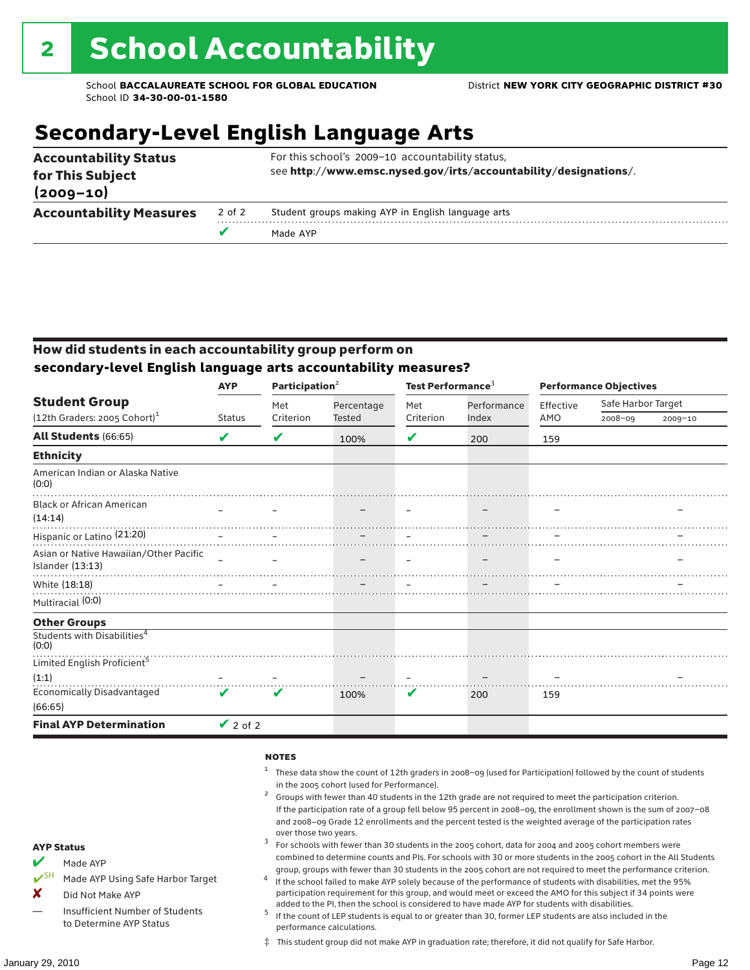# **Secondary-Level English Language Arts**

|                                   |        | Made AYP                                                         |  |  |  |  |
|-----------------------------------|--------|------------------------------------------------------------------|--|--|--|--|
| <b>Accountability Measures</b>    | 2 of 2 | Student groups making AYP in English language arts               |  |  |  |  |
| for This Subject<br>$(2009 - 10)$ |        | see http://www.emsc.nysed.gov/irts/accountability/designations/. |  |  |  |  |
| <b>Accountability Status</b>      |        | For this school's 2009-10 accountability status,                 |  |  |  |  |

### How did students in each accountability group perform on **secondary-level English language arts accountability measures?**

|                                                            | <b>AYP</b>         | Participation $2$          |               | Test Performance <sup>3</sup> |             | <b>Performance Objectives</b> |                    |             |
|------------------------------------------------------------|--------------------|----------------------------|---------------|-------------------------------|-------------|-------------------------------|--------------------|-------------|
| <b>Student Group</b>                                       |                    | Met                        | Percentage    | Met                           | Performance | Effective                     | Safe Harbor Target |             |
| (12th Graders: 2005 Cohort) <sup>1</sup>                   | <b>Status</b>      | Criterion                  | <b>Tested</b> | Criterion                     | Index       | AMO                           | $2008 - 09$        | $2009 - 10$ |
| All Students (66:65)                                       | V                  | V                          | 100%          | V                             | 200         | 159                           |                    |             |
| <b>Ethnicity</b>                                           |                    |                            |               |                               |             |                               |                    |             |
| American Indian or Alaska Native<br>(0:0)                  |                    |                            |               |                               |             |                               |                    |             |
| <b>Black or African American</b><br>(14:14)                |                    |                            |               |                               |             |                               |                    |             |
| Hispanic or Latino <sup>(21:20)</sup>                      |                    |                            |               |                               |             |                               |                    |             |
| Asian or Native Hawaiian/Other Pacific<br>Islander (13:13) |                    |                            |               |                               |             |                               |                    |             |
| White (18:18)                                              |                    |                            |               |                               |             |                               |                    |             |
| Multiracial (0:0)                                          |                    |                            |               |                               |             |                               |                    |             |
| <b>Other Groups</b>                                        |                    |                            |               |                               |             |                               |                    |             |
| Students with Disabilities <sup>4</sup><br>(0:0)           |                    |                            |               |                               |             |                               |                    |             |
| Limited English Proficient <sup>5</sup>                    |                    |                            |               |                               |             |                               |                    |             |
| (1:1)                                                      |                    |                            |               |                               |             |                               |                    |             |
| <b>Economically Disadvantaged</b><br>(66:65)               | $\boldsymbol{\nu}$ | $\boldsymbol{\mathcal{U}}$ | 100%          | V                             | 200         | 159                           |                    |             |
| <b>Final AYP Determination</b>                             | $\vee$ 2 of 2      |                            |               |                               |             |                               |                    |             |

#### **NOTES**

- <sup>1</sup> These data show the count of 12th graders in 2008–09 (used for Participation) followed by the count of students in the 2005 cohort (used for Performance).<br>Groups with fewer than 40 students in the 12th grade are not required to meet the participation criterion.
- If the participation rate of a group fell below 95 percent in 2008–09, the enrollment shown is the sum of 2007–08 and 2008–09 Grade 12 enrollments and the percent tested is the weighted average of the participation rates
- over those two years.  $^3$  For schools with fewer than 30 students in the 2005 cohort, data for 2004 and 2005 cohort members were combined to determine counts and PIs. For schools with 30 or more students in the 2005 cohort in the All Students
- group, groups with fewer than 30 students in the 2005 cohort are not required to meet the performance criterion. <sup>4</sup> If the school failed to make AYP solely because of the performance of students with disabilities, met the 95% participation requirement for this group, and would meet or exceed the AMO for this subject if 34 points were
- added to the PI, then the school is considered to have made AYP for students with disabilities.<br> $^5$  If the count of LEP students is equal to or greater than 30, former LEP students are also included in the performance calculations.
- ‡ This student group did not make AYP in graduation rate; therefore, it did not qualify for Safe Harbor.

 $M$  Made AYP

Made AYP Using Safe Harbor Target

X Did Not Make AYP

Insufficient Number of Students to Determine AYP Status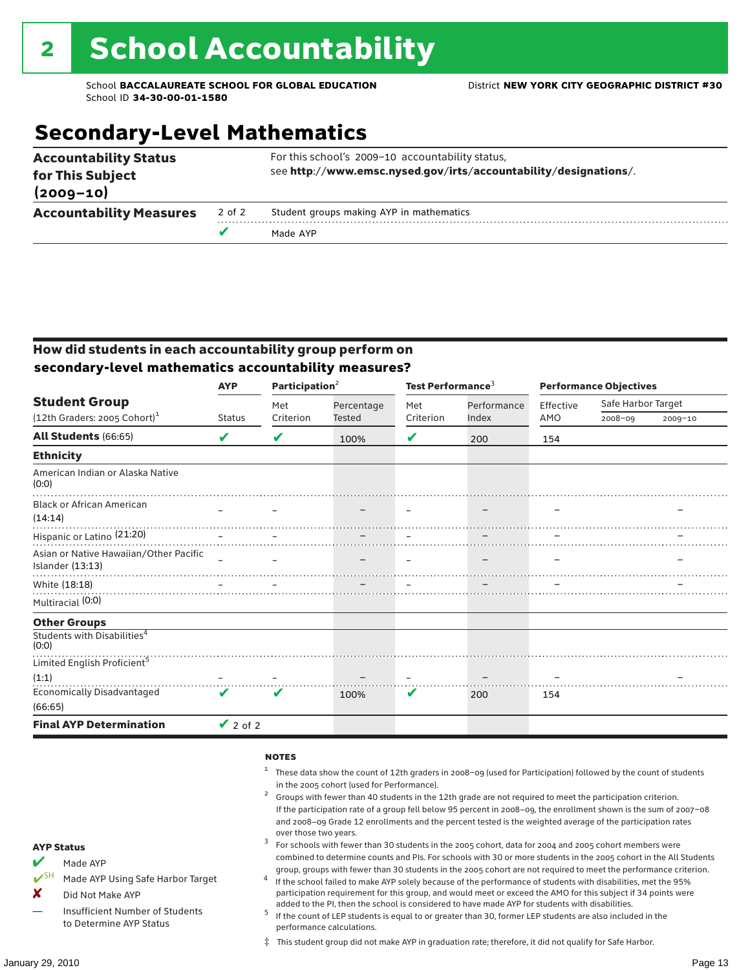# **Secondary-Level Mathematics**

| <b>Accountability Status</b><br>for This Subject<br>$(2009 - 10)$ |        | For this school's 2009-10 accountability status,<br>see http://www.emsc.nysed.gov/irts/accountability/designations/. |
|-------------------------------------------------------------------|--------|----------------------------------------------------------------------------------------------------------------------|
| <b>Accountability Measures</b>                                    | 2 of 2 | Student groups making AYP in mathematics                                                                             |
|                                                                   |        | Made AYP                                                                                                             |

### How did students in each accountability group perform on **secondary-level mathematics accountability measures?**

|                                                            | <b>AYP</b>         | Participation $2$          |               | Test Performance <sup>3</sup> |             | <b>Performance Objectives</b> |                    |             |
|------------------------------------------------------------|--------------------|----------------------------|---------------|-------------------------------|-------------|-------------------------------|--------------------|-------------|
| <b>Student Group</b>                                       |                    | Met                        | Percentage    | Met<br>Criterion              | Performance | Effective                     | Safe Harbor Target |             |
| (12th Graders: 2005 Cohort) <sup>1</sup>                   | <b>Status</b>      | Criterion                  | <b>Tested</b> |                               | Index       | AMO                           | $2008 - 09$        | $2009 - 10$ |
| All Students (66:65)                                       | V                  | V                          | 100%          | V                             | 200         | 154                           |                    |             |
| <b>Ethnicity</b>                                           |                    |                            |               |                               |             |                               |                    |             |
| American Indian or Alaska Native<br>(0:0)                  |                    |                            |               |                               |             |                               |                    |             |
| <b>Black or African American</b><br>(14:14)                |                    |                            |               |                               |             |                               |                    |             |
| Hispanic or Latino <sup>(21:20)</sup>                      |                    |                            |               |                               |             |                               |                    |             |
| Asian or Native Hawaiian/Other Pacific<br>Islander (13:13) |                    |                            |               |                               |             |                               |                    |             |
| White (18:18)                                              |                    |                            |               |                               |             |                               |                    |             |
| Multiracial (0:0)                                          |                    |                            |               |                               |             |                               |                    |             |
| <b>Other Groups</b>                                        |                    |                            |               |                               |             |                               |                    |             |
| Students with Disabilities <sup>4</sup><br>(0:0)           |                    |                            |               |                               |             |                               |                    |             |
| Limited English Proficient <sup>5</sup>                    |                    |                            |               |                               |             |                               |                    |             |
| (1:1)                                                      |                    |                            |               |                               |             |                               |                    |             |
| <b>Economically Disadvantaged</b><br>(66:65)               | $\boldsymbol{\nu}$ | $\boldsymbol{\mathcal{U}}$ | 100%          | V                             | 200         | 154                           |                    |             |
| <b>Final AYP Determination</b>                             | $\vee$ 2 of 2      |                            |               |                               |             |                               |                    |             |

#### **NOTES**

- <sup>1</sup> These data show the count of 12th graders in 2008–09 (used for Participation) followed by the count of students in the 2005 cohort (used for Performance).<br>Groups with fewer than 40 students in the 12th grade are not required to meet the participation criterion.
- If the participation rate of a group fell below 95 percent in 2008–09, the enrollment shown is the sum of 2007–08 and 2008–09 Grade 12 enrollments and the percent tested is the weighted average of the participation rates
- over those two years.  $^3$  For schools with fewer than 30 students in the 2005 cohort, data for 2004 and 2005 cohort members were combined to determine counts and PIs. For schools with 30 or more students in the 2005 cohort in the All Students
- group, groups with fewer than 30 students in the 2005 cohort are not required to meet the performance criterion. <sup>4</sup> If the school failed to make AYP solely because of the performance of students with disabilities, met the 95% participation requirement for this group, and would meet or exceed the AMO for this subject if 34 points were
- added to the PI, then the school is considered to have made AYP for students with disabilities.<br> $^5$  If the count of LEP students is equal to or greater than 30, former LEP students are also included in the performance calculations.
- ‡ This student group did not make AYP in graduation rate; therefore, it did not qualify for Safe Harbor.

Made AYP

<del></del> I<sup>SH</sup> Made AYP Using Safe Harbor Target

X Did Not Make AYP

Insufficient Number of Students to Determine AYP Status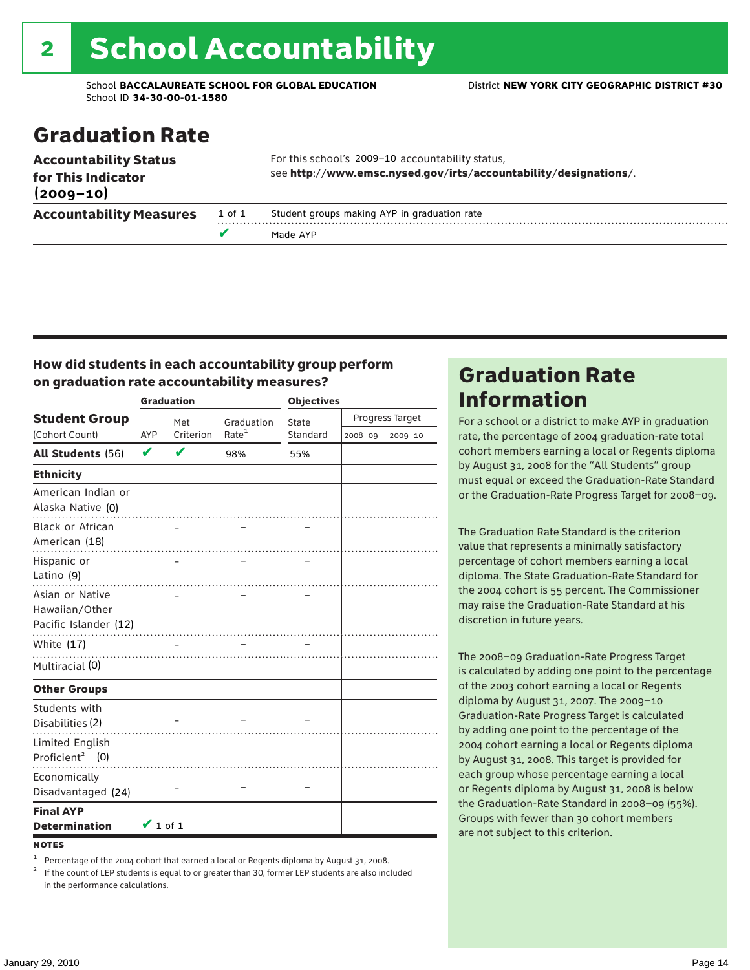# 2 School Accountability

School **BACCALAUREATE SCHOOL FOR GLOBAL EDUCATION** District **NEW YORK CITY GEOGRAPHIC DISTRICT #30** School ID **34-30-00-01-1580**

### Graduation Rate

|                                                                     |        | Made AYP                                                                                                             |
|---------------------------------------------------------------------|--------|----------------------------------------------------------------------------------------------------------------------|
| <b>Accountability Measures</b>                                      | 1 of 1 | Student groups making AYP in graduation rate                                                                         |
| <b>Accountability Status</b><br>for This Indicator<br>$(2009 - 10)$ |        | For this school's 2009-10 accountability status,<br>see http://www.emsc.nysed.gov/irts/accountability/designations/. |

### How did students in each accountability group perform on graduation rate accountability measures?

|                                                            |               | <b>Graduation</b> |                   | <b>Objectives</b> |                 |         |  |
|------------------------------------------------------------|---------------|-------------------|-------------------|-------------------|-----------------|---------|--|
| <b>Student Group</b>                                       |               | Met               | Graduation        | State             | Progress Target |         |  |
| (Cohort Count)                                             | AYP           | Criterion         | Rate <sup>1</sup> | Standard          | 2008-09         | 2009-10 |  |
| All Students (56)                                          | V             | V                 | 98%               | 55%               |                 |         |  |
| <b>Ethnicity</b>                                           |               |                   |                   |                   |                 |         |  |
| American Indian or<br>Alaska Native (0)                    |               |                   |                   |                   |                 |         |  |
| <b>Black or African</b><br>American (18)                   |               |                   |                   |                   |                 |         |  |
| Hispanic or<br>Latino (9)                                  |               |                   |                   |                   |                 |         |  |
| Asian or Native<br>Hawaiian/Other<br>Pacific Islander (12) |               |                   |                   |                   |                 |         |  |
| White (17)                                                 |               |                   |                   |                   |                 |         |  |
| Multiracial (0)                                            |               |                   |                   |                   |                 |         |  |
| <b>Other Groups</b>                                        |               |                   |                   |                   |                 |         |  |
| Students with<br>Disabilities (2)                          |               |                   |                   |                   |                 |         |  |
| Limited English<br>Proficient <sup>2</sup> (0)             |               |                   |                   |                   |                 |         |  |
| Economically<br>Disadvantaged (24)                         |               |                   |                   |                   |                 |         |  |
| <b>Final AYP</b><br><b>Determination</b>                   | $\vee$ 1 of 1 |                   |                   |                   |                 |         |  |
| <b>NOTES</b>                                               |               |                   |                   |                   |                 |         |  |

<sup>1</sup> Percentage of the 2004 cohort that earned a local or Regents diploma by August 31, 2008.<br><sup>2</sup> If the count of LEP students is equal to or greater than 30, former LEP students are also included

in the performance calculations.

### Graduation Rate Information

For a school or a district to make AYP in graduation rate, the percentage of 2004 graduation-rate total cohort members earning a local or Regents diploma by August 31, 2008 for the "All Students" group must equal or exceed the Graduation-Rate Standard or the Graduation-Rate Progress Target for 2008–09.

The Graduation Rate Standard is the criterion value that represents a minimally satisfactory percentage of cohort members earning a local diploma. The State Graduation-Rate Standard for the 2004 cohort is 55 percent. The Commissioner may raise the Graduation-Rate Standard at his discretion in future years.

The 2008–09 Graduation-Rate Progress Target is calculated by adding one point to the percentage of the 2003 cohort earning a local or Regents diploma by August 31, 2007. The 2009–10 Graduation-Rate Progress Target is calculated by adding one point to the percentage of the 2004 cohort earning a local or Regents diploma by August 31, 2008. This target is provided for each group whose percentage earning a local or Regents diploma by August 31, 2008 is below the Graduation-Rate Standard in 2008–09 (55%). Groups with fewer than 30 cohort members are not subject to this criterion.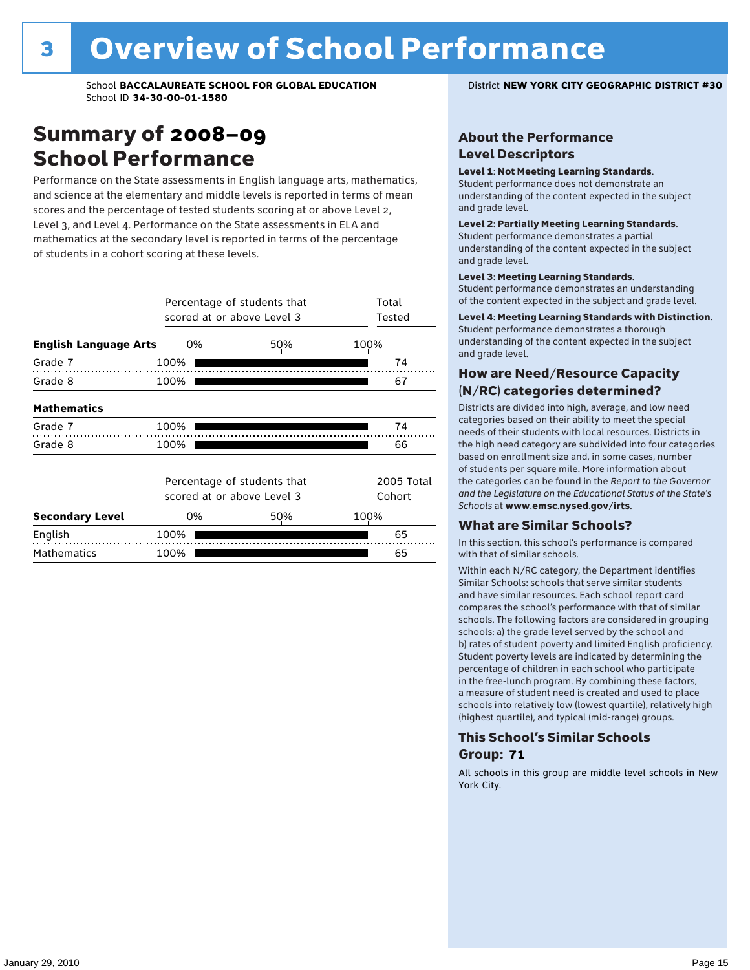### Summary of 2008–09 School Performance

Performance on the State assessments in English language arts, mathematics, and science at the elementary and middle levels is reported in terms of mean scores and the percentage of tested students scoring at or above Level 2, Level 3, and Level 4. Performance on the State assessments in ELA and mathematics at the secondary level is reported in terms of the percentage of students in a cohort scoring at these levels.

|                              | Percentage of students that<br>scored at or above Level 3 | Total<br>Tested |                      |    |
|------------------------------|-----------------------------------------------------------|-----------------|----------------------|----|
| <b>English Language Arts</b> | 0%                                                        | 50%             | 100%                 |    |
| Grade 7                      | 100%                                                      |                 |                      | 74 |
| Grade 8                      | 100%                                                      |                 |                      | 67 |
| <b>Mathematics</b>           |                                                           |                 |                      |    |
| Grade 7                      | 100%                                                      |                 |                      | 74 |
| Grade 8                      | 100%                                                      |                 |                      | 66 |
|                              | Percentage of students that<br>scored at or above Level 3 |                 | 2005 Total<br>Cohort |    |
| <b>Secondary Level</b>       | 0%                                                        | 50%             | 100%                 |    |
| English                      | 100%                                                      |                 |                      | 65 |
| <b>Mathematics</b>           | 100%                                                      |                 |                      | 65 |

### About the Performance Level Descriptors

#### Level 1: Not Meeting Learning Standards.

Student performance does not demonstrate an understanding of the content expected in the subject and grade level.

#### Level 2: Partially Meeting Learning Standards.

Student performance demonstrates a partial understanding of the content expected in the subject and grade level.

#### Level 3: Meeting Learning Standards.

Student performance demonstrates an understanding of the content expected in the subject and grade level.

#### Level 4: Meeting Learning Standards with Distinction.

Student performance demonstrates a thorough understanding of the content expected in the subject and grade level.

### How are Need/Resource Capacity (N/RC) categories determined?

Districts are divided into high, average, and low need categories based on their ability to meet the special needs of their students with local resources. Districts in the high need category are subdivided into four categories based on enrollment size and, in some cases, number of students per square mile. More information about the categories can be found in the *Report to the Governor and the Legislature on the Educational Status of the State's Schools* at www.emsc.nysed.gov/irts.

#### What are Similar Schools?

In this section, this school's performance is compared with that of similar schools.

Within each N/RC category, the Department identifies Similar Schools: schools that serve similar students and have similar resources. Each school report card compares the school's performance with that of similar schools. The following factors are considered in grouping schools: a) the grade level served by the school and b) rates of student poverty and limited English proficiency. Student poverty levels are indicated by determining the percentage of children in each school who participate in the free-lunch program. By combining these factors, a measure of student need is created and used to place schools into relatively low (lowest quartile), relatively high (highest quartile), and typical (mid-range) groups.

### This School's Similar Schools Group: **71**

All schools in this group are middle level schools in New York City.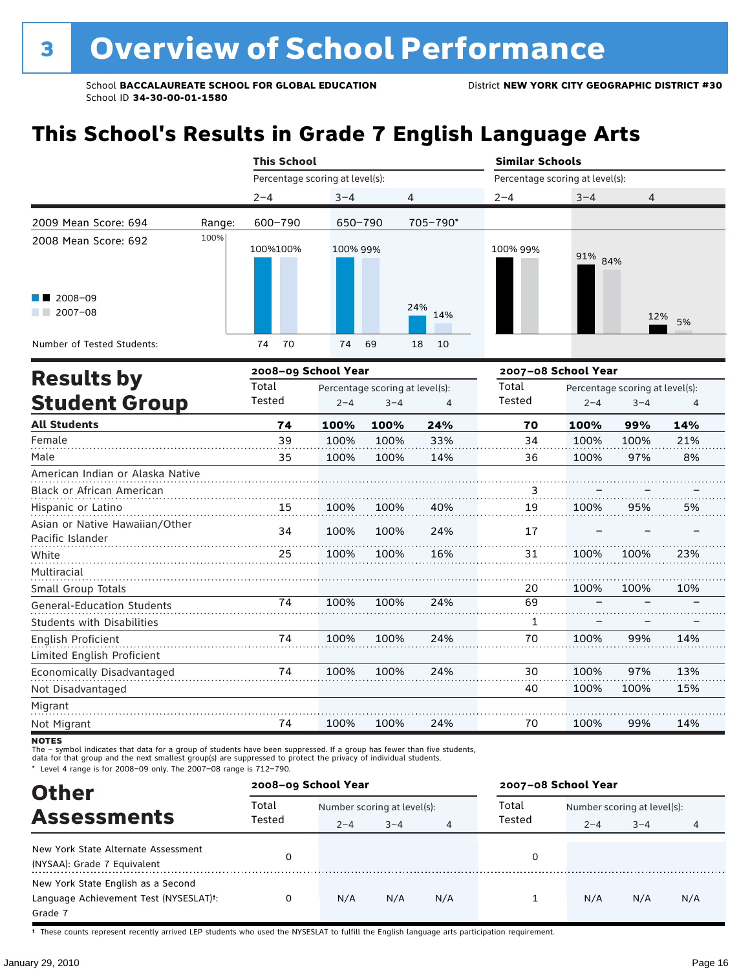# **This School's Results in Grade 7 English Language Arts**

|                                                           |        | <b>This School</b>              |          |            |                                 | <b>Similar Schools</b> |        |  |  |
|-----------------------------------------------------------|--------|---------------------------------|----------|------------|---------------------------------|------------------------|--------|--|--|
|                                                           |        | Percentage scoring at level(s): |          |            | Percentage scoring at level(s): |                        |        |  |  |
|                                                           |        | $2 - 4$                         | $3 - 4$  | 4          | $2 - 4$                         | $3 - 4$                | 4      |  |  |
| 2009 Mean Score: 694                                      | Range: | 600-790                         | 650-790  | 705-790*   |                                 |                        |        |  |  |
| 2008 Mean Score: 692<br>$\blacksquare$ 2008-09<br>2007-08 | 100%   | 100%100%                        | 100% 99% | 24%<br>14% | 100% 99%                        | 91% 84%                | 12% 5% |  |  |
| Number of Tested Students:                                |        | 70<br>74                        | 74<br>69 | 18<br>10   |                                 |                        |        |  |  |
| Deenlas ku                                                |        | 2008-09 School Year             |          |            | 2007-08 School Year             |                        |        |  |  |

| <b>Results by</b>                 |        | 2008–09 School Year |                                 |     |        | 2007–08 School Year             |         |     |  |  |
|-----------------------------------|--------|---------------------|---------------------------------|-----|--------|---------------------------------|---------|-----|--|--|
|                                   | Total  |                     | Percentage scoring at level(s): |     | Total  | Percentage scoring at level(s): |         |     |  |  |
| <b>Student Group</b>              | Tested | $2 - 4$             | $3 - 4$                         | 4   | Tested | $2 - 4$                         | $3 - 4$ | 4   |  |  |
| <b>All Students</b>               | 74     | 100%                | 100%                            | 24% | 70     | 100%                            | 99%     | 14% |  |  |
| Female                            | 39     | 100%                | 100%                            | 33% | 34     | 100%                            | 100%    | 21% |  |  |
| Male                              | 35     | 100%                | 100%                            | 14% | 36     | 100%                            | 97%     | 8%  |  |  |
| American Indian or Alaska Native  |        |                     |                                 |     |        |                                 |         |     |  |  |
| Black or African American         |        |                     |                                 |     | 3      |                                 |         |     |  |  |
| Hispanic or Latino                | 15     | 100%                | 100%                            | 40% | 19     | 100%                            | 95%     | 5%  |  |  |
| Asian or Native Hawaiian/Other    | 34     | 100%                | 100%                            | 24% | 17     |                                 |         |     |  |  |
| Pacific Islander                  |        |                     |                                 |     |        |                                 |         |     |  |  |
| White                             | 25     | 100%                | 100%                            | 16% | 31     | 100%                            | 100%    | 23% |  |  |
| Multiracial                       |        |                     |                                 |     |        |                                 |         |     |  |  |
| Small Group Totals                |        |                     |                                 |     | 20     | 100%                            | 100%    | 10% |  |  |
| <b>General-Education Students</b> | 74     | 100%                | 100%                            | 24% | 69     |                                 |         |     |  |  |
| <b>Students with Disabilities</b> |        |                     |                                 |     | 1      |                                 |         |     |  |  |
| English Proficient                | 74     | 100%                | 100%                            | 24% | 70     | 100%                            | 99%     | 14% |  |  |
| Limited English Proficient        |        |                     |                                 |     |        |                                 |         |     |  |  |
| Economically Disadvantaged        | 74     | 100%                | 100%                            | 24% | 30     | 100%                            | 97%     | 13% |  |  |
| Not Disadvantaged                 |        |                     |                                 |     | 40     | 100%                            | 100%    | 15% |  |  |
| Migrant                           |        |                     |                                 |     |        |                                 |         |     |  |  |
| Not Migrant                       | 74     | 100%                | 100%                            | 24% | 70     | 100%                            | 99%     | 14% |  |  |

**NOTES** 

The – symbol indicates that data for a group of students have been suppressed. If a group has fewer than five students,<br>data for that group and the next smallest group(s) are suppressed to protect the privacy of individual

\* Level 4 range is for 2008–09 only. The 2007–08 range is 712–790.

| <b>Other</b>                                                                                         |                 | 2007-08 School Year<br>2008-09 School Year |         |     |        |                             |         |     |
|------------------------------------------------------------------------------------------------------|-----------------|--------------------------------------------|---------|-----|--------|-----------------------------|---------|-----|
|                                                                                                      | Total<br>Tested | Number scoring at level(s):                |         |     | Total  | Number scoring at level(s): |         |     |
| <b>Assessments</b>                                                                                   |                 | $2 - 4$                                    | $3 - 4$ | 4   | Tested | $2 - 4$                     | $3 - 4$ | 4   |
| New York State Alternate Assessment<br>(NYSAA): Grade 7 Equivalent                                   |                 |                                            |         |     | 0      |                             |         |     |
| New York State English as a Second<br>Language Achievement Test (NYSESLAT) <sup>+</sup> :<br>Grade 7 |                 | N/A                                        | N/A     | N/A |        | N/A                         | N/A     | N/A |

† These counts represent recently arrived LEP students who used the NYSESLAT to fulfill the English language arts participation requirement.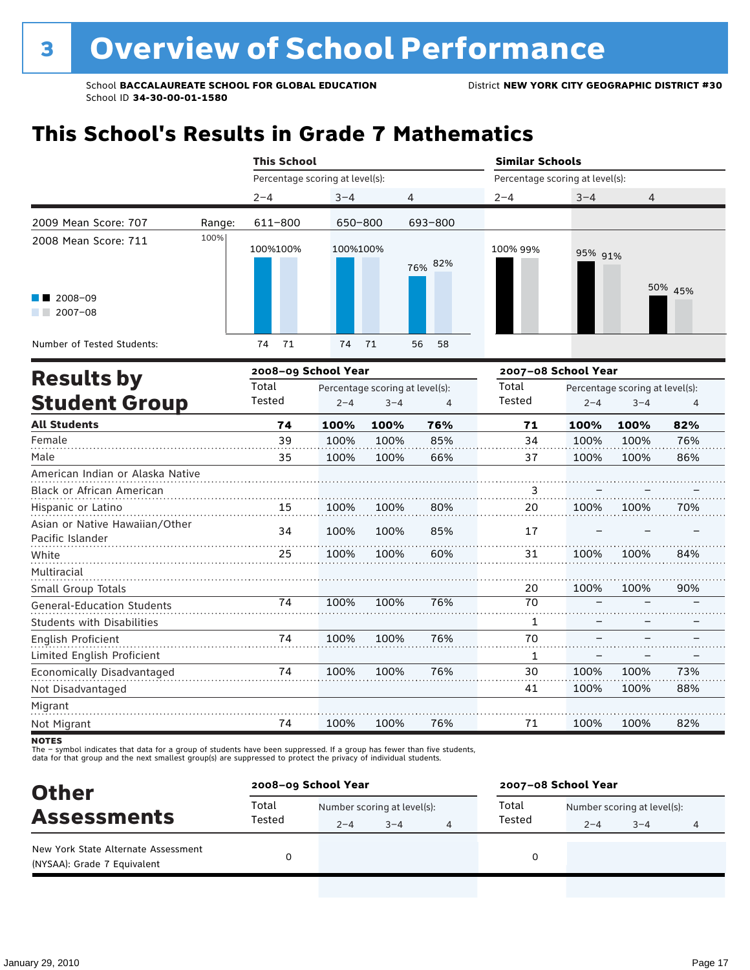# **This School's Results in Grade 7 Mathematics**

|                                                    |        |                                 | <b>This School</b> |                                 |                |                                 | <b>Similar Schools</b> |                                 |         |  |  |
|----------------------------------------------------|--------|---------------------------------|--------------------|---------------------------------|----------------|---------------------------------|------------------------|---------------------------------|---------|--|--|
|                                                    |        | Percentage scoring at level(s): |                    |                                 |                | Percentage scoring at level(s): |                        |                                 |         |  |  |
|                                                    |        | $2 - 4$                         | $3 - 4$            |                                 | 4              | $2 - 4$                         | $3 - 4$                | $\overline{4}$                  |         |  |  |
| 2009 Mean Score: 707                               | Range: | 611-800                         | 650-800            |                                 | 693-800        |                                 |                        |                                 |         |  |  |
| 2008 Mean Score: 711                               | 100%   | 100%100%                        | 100%100%           |                                 | 76% 82%        | 100% 99%                        | 95% 91%                |                                 |         |  |  |
| $2008 - 09$<br>$2007 - 08$                         |        |                                 |                    |                                 |                |                                 |                        |                                 | 50% 45% |  |  |
| Number of Tested Students:                         |        | 71<br>74                        | 74                 | 71                              | 58<br>56       |                                 |                        |                                 |         |  |  |
|                                                    |        | 2008-09 School Year             |                    |                                 |                | 2007-08 School Year             |                        |                                 |         |  |  |
| <b>Results by</b>                                  |        | Total                           |                    | Percentage scoring at level(s): |                | Total                           |                        | Percentage scoring at level(s): |         |  |  |
| <b>Student Group</b>                               |        | Tested                          | $2 - 4$            | $3 - 4$                         | $\overline{4}$ | Tested                          | $2 - 4$                | $3 - 4$                         | 4       |  |  |
| <b>All Students</b>                                |        | 74                              | 100%               | 100%                            | 76%            | 71                              | 100%                   | 100%                            | 82%     |  |  |
| Female                                             |        | 39                              | 100%               | 100%                            | 85%            | 34                              | 100%                   | 100%                            | 76%     |  |  |
| Male                                               |        | 35                              | 100%               | 100%                            | 66%            | 37                              | 100%                   | 100%                            | 86%     |  |  |
| American Indian or Alaska Native                   |        |                                 |                    |                                 |                |                                 |                        |                                 |         |  |  |
| <b>Black or African American</b>                   |        |                                 |                    |                                 |                | 3                               |                        |                                 |         |  |  |
| Hispanic or Latino                                 |        | 15                              | 100%               | 100%                            | 80%            | 20                              | 100%                   | 100%                            | 70%     |  |  |
| Asian or Native Hawaiian/Other<br>Pacific Islander |        | 34                              | 100%               | 100%                            | 85%            | 17                              |                        |                                 |         |  |  |
| White                                              |        | 25                              | 100%               | 100%                            | 60%            | 31                              | 100%                   | 100%                            | 84%     |  |  |
| Multiracial                                        |        |                                 |                    |                                 |                |                                 |                        |                                 |         |  |  |
| Small Group Totals                                 |        |                                 |                    |                                 |                | 20                              | 100%                   | 100%                            | 90%     |  |  |
| <b>General-Education Students</b>                  |        | 74                              | 100%               | 100%                            | 76%            | 70                              |                        |                                 |         |  |  |
| <b>Students with Disabilities</b>                  |        |                                 |                    |                                 |                | 1                               |                        |                                 |         |  |  |
| English Proficient<br>Limited English Proficient   |        | 74                              | 100%               | 100%                            | 76%            | 70<br>1                         |                        |                                 |         |  |  |
| Economically Disadvantaged                         |        | 74                              | 100%               | 100%                            | 76%            | 30                              | 100%                   | 100%                            | 73%     |  |  |
| Not Disadvantaged                                  |        |                                 |                    |                                 |                | 41                              | 100%                   | 100%                            | 88%     |  |  |
| Migrant                                            |        |                                 |                    |                                 |                |                                 |                        |                                 |         |  |  |
| Not Migrant                                        |        | 74                              | 100%               | 100%                            | 76%            | 71                              | 100%                   | 100%                            | 82%     |  |  |

**NOTES** 

The – symbol indicates that data for a group of students have been suppressed. If a group has fewer than five students,<br>data for that group and the next smallest group(s) are suppressed to protect the privacy of individual

| <b>Other</b>                                                       | 2008-09 School Year |         |                             |   |                                      | 2007-08 School Year |         |   |  |  |
|--------------------------------------------------------------------|---------------------|---------|-----------------------------|---|--------------------------------------|---------------------|---------|---|--|--|
| <b>Assessments</b>                                                 | Total<br>Tested     |         | Number scoring at level(s): |   | Total<br>Number scoring at level(s): |                     |         |   |  |  |
|                                                                    |                     | $2 - 4$ | $3 - 4$                     | 4 | Tested                               | $2 - 4$             | $3 - 4$ | 4 |  |  |
| New York State Alternate Assessment<br>(NYSAA): Grade 7 Equivalent |                     |         |                             |   | 0                                    |                     |         |   |  |  |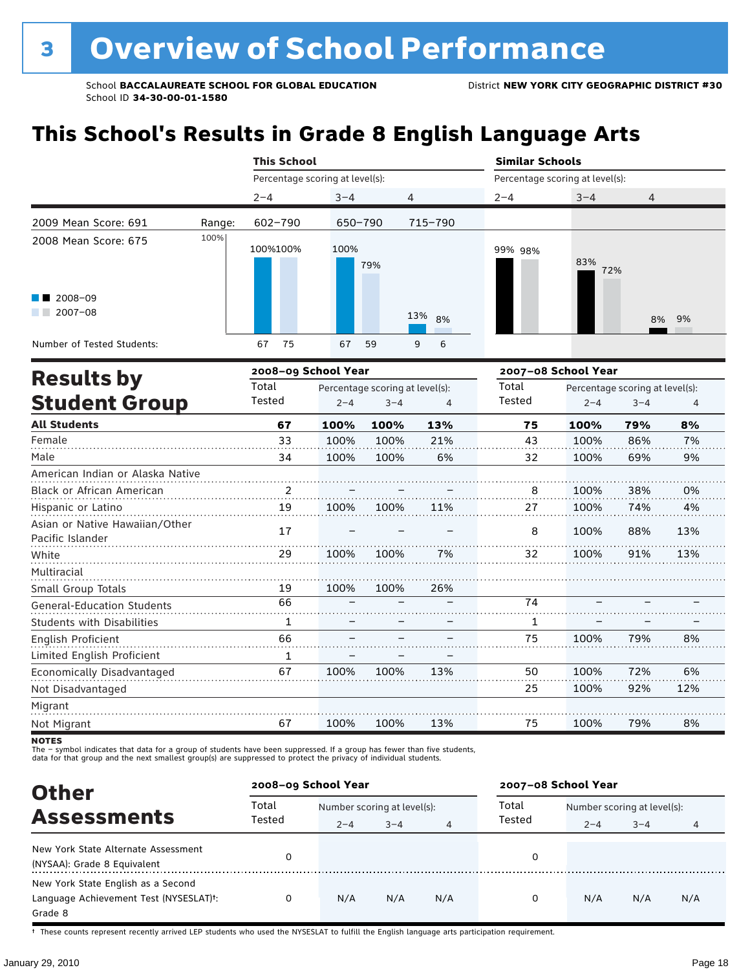# **This School's Results in Grade 8 English Language Arts**

|                                                               |        | <b>This School</b>              |                                 |           |         | <b>Similar Schools</b>          |                                 |  |  |  |
|---------------------------------------------------------------|--------|---------------------------------|---------------------------------|-----------|---------|---------------------------------|---------------------------------|--|--|--|
|                                                               |        | Percentage scoring at level(s): |                                 |           |         | Percentage scoring at level(s): |                                 |  |  |  |
|                                                               |        | $2 - 4$                         | $3 - 4$                         | 4         | $2 - 4$ | $3 - 4$                         | 4                               |  |  |  |
| 2009 Mean Score: 691                                          | Range: | 602-790                         | 650-790                         | 715-790   |         |                                 |                                 |  |  |  |
| 2008 Mean Score: 675<br>$\blacksquare$ 2008-09<br>$2007 - 08$ | 100%   | 100%100%                        | 100%<br>79%                     | 13%<br>8% | 99% 98% | 83%<br>72%                      | 8% 9%                           |  |  |  |
| Number of Tested Students:                                    |        | 75<br>67                        | 67<br>59                        | 6<br>9    |         |                                 |                                 |  |  |  |
| <b>Results by</b>                                             |        | 2008-09 School Year             |                                 |           |         | 2007-08 School Year             |                                 |  |  |  |
|                                                               |        | Total                           | Percentage scoring at level(s). |           | Total   |                                 | Percentage scoring at level(s). |  |  |  |

| <b>ITESALLS DY</b>                                 | Total  |         | Percentage scoring at level(s): |     | Total  |         | Percentage scoring at level(s): |     |
|----------------------------------------------------|--------|---------|---------------------------------|-----|--------|---------|---------------------------------|-----|
| <b>Student Group</b>                               | Tested | $2 - 4$ | $3 - 4$                         | 4   | Tested | $2 - 4$ | $3 - 4$                         | 4   |
| <b>All Students</b>                                | 67     | 100%    | 100%                            | 13% | 75     | 100%    | 79%                             | 8%  |
| Female                                             | 33     | 100%    | 100%                            | 21% | 43     | 100%    | 86%                             | 7%  |
| Male                                               | 34     | 100%    | 100%                            | 6%  | 32     | 100%    | 69%                             | 9%  |
| American Indian or Alaska Native                   |        |         |                                 |     |        |         |                                 |     |
| Black or African American                          | 2      |         |                                 |     | 8      | 100%    | 38%                             | 0%  |
| Hispanic or Latino                                 | 19     | 100%    | 100%                            | 11% | 27     | 100%    | 74%                             | 4%  |
| Asian or Native Hawaiian/Other<br>Pacific Islander | 17     |         |                                 |     | 8      | 100%    | 88%                             | 13% |
| White                                              | 29     | 100%    | 100%                            | 7%  | 32     | 100%    | 91%                             | 13% |
| Multiracial                                        |        |         |                                 |     |        |         |                                 |     |
| Small Group Totals                                 | 19     | 100%    | 100%                            | 26% |        |         |                                 |     |
| <b>General-Education Students</b>                  | 66     |         |                                 |     | 74     |         |                                 |     |
| <b>Students with Disabilities</b>                  | 1      |         |                                 | -   | 1      |         |                                 |     |
| English Proficient                                 | 66     |         |                                 |     | 75     | 100%    | 79%                             | 8%  |
| Limited English Proficient                         | 1      |         |                                 |     |        |         |                                 |     |
| Economically Disadvantaged                         | 67     | 100%    | 100%                            | 13% | 50     | 100%    | 72%                             | 6%  |
| Not Disadvantaged                                  |        |         |                                 |     | 25     | 100%    | 92%                             | 12% |
| Migrant                                            |        |         |                                 |     |        |         |                                 |     |
| Not Migrant                                        | 67     | 100%    | 100%                            | 13% | 75     | 100%    | 79%                             | 8%  |

**NOTES** 

The – symbol indicates that data for a group of students have been suppressed. If a group has fewer than five students,<br>data for that group and the next smallest group(s) are suppressed to protect the privacy of individual

| <b>Other</b>                                                                                         | 2008-09 School Year |                             |         |     | 2007-08 School Year |                             |         |     |  |
|------------------------------------------------------------------------------------------------------|---------------------|-----------------------------|---------|-----|---------------------|-----------------------------|---------|-----|--|
| <b>Assessments</b>                                                                                   | Total               | Number scoring at level(s): |         |     | Total               | Number scoring at level(s): |         |     |  |
|                                                                                                      | Tested              | $2 - 4$                     | $3 - 4$ | 4   | Tested              | $2 - 4$                     | $3 - 4$ | 4   |  |
| New York State Alternate Assessment<br>(NYSAA): Grade 8 Equivalent                                   |                     |                             |         |     | 0                   |                             |         |     |  |
| New York State English as a Second<br>Language Achievement Test (NYSESLAT) <sup>+</sup> :<br>Grade 8 |                     | N/A                         | N/A     | N/A | 0                   | N/A                         | N/A     | N/A |  |

† These counts represent recently arrived LEP students who used the NYSESLAT to fulfill the English language arts participation requirement.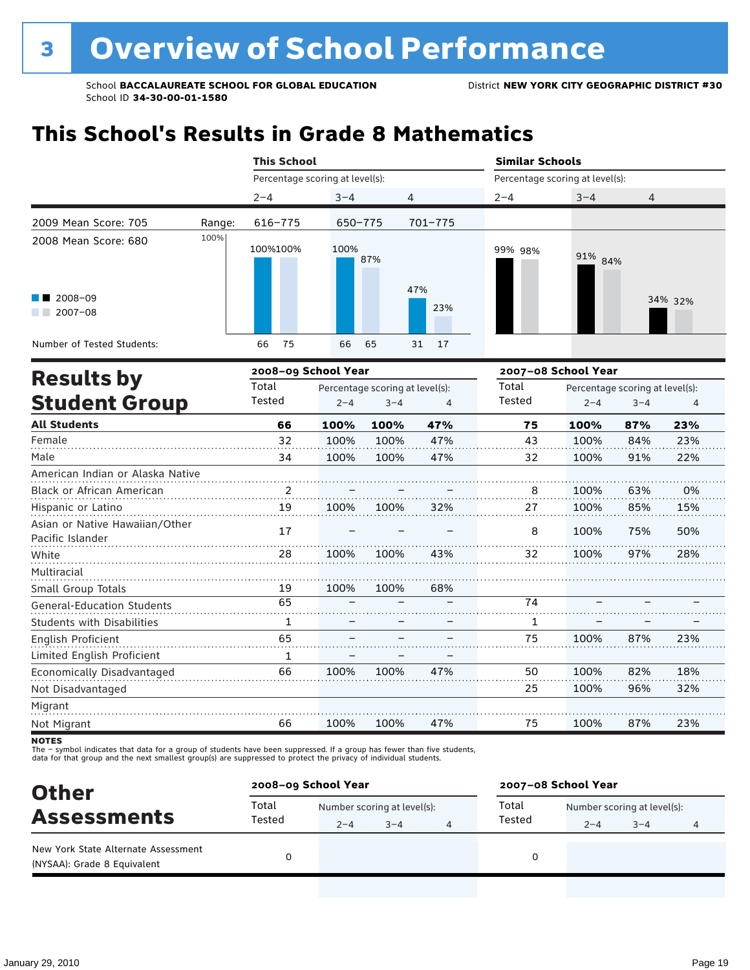# **This School's Results in Grade 8 Mathematics**

|                                                                          |        | <b>This School</b>  |                                 |                |         | <b>Similar Schools</b>          |         |  |  |  |
|--------------------------------------------------------------------------|--------|---------------------|---------------------------------|----------------|---------|---------------------------------|---------|--|--|--|
|                                                                          |        |                     | Percentage scoring at level(s): |                |         | Percentage scoring at level(s): |         |  |  |  |
|                                                                          |        | $2 - 4$             | $3 - 4$                         | $\overline{4}$ | $2 - 4$ | $3 - 4$                         | 4       |  |  |  |
| 2009 Mean Score: 705                                                     | Range: | 616-775             | 650-775                         | 701-775        |         |                                 |         |  |  |  |
| 2008 Mean Score: 680<br>$\blacksquare$ 2008-09<br>2007-08<br>a kacamatan | 100%   | 100%100%            | 100%<br>87%                     | 47%<br>23%     | 99% 98% | 91% 84%                         | 34% 32% |  |  |  |
| Number of Tested Students:                                               |        | 75<br>66            | 66<br>65                        | 31 17          |         |                                 |         |  |  |  |
| <b>Docults hy</b>                                                        |        | 2008-09 School Year |                                 |                |         | 2007-08 School Year             |         |  |  |  |

| <b>Results by</b>                                  |                | 2008–09 School Year |                                 |     |        | 2007–08 School Year |                                 |     |  |  |
|----------------------------------------------------|----------------|---------------------|---------------------------------|-----|--------|---------------------|---------------------------------|-----|--|--|
|                                                    | Total          |                     | Percentage scoring at level(s): |     | Total  |                     | Percentage scoring at level(s): |     |  |  |
| <b>Student Group</b>                               | Tested         | $2 - 4$             | $3 - 4$                         | 4   | Tested | $2 - 4$             | $3 - 4$                         | 4   |  |  |
| <b>All Students</b>                                | 66             | 100%                | 100%                            | 47% | 75     | 100%                | 87%                             | 23% |  |  |
| Female                                             | 32             | 100%                | 100%                            | 47% | 43     | 100%                | 84%                             | 23% |  |  |
| Male                                               | 34             | 100%                | 100%                            | 47% | 32     | 100%                | 91%                             | 22% |  |  |
| American Indian or Alaska Native                   |                |                     |                                 |     |        |                     |                                 |     |  |  |
| Black or African American                          | $\overline{2}$ |                     |                                 |     | 8      | 100%                | 63%                             | 0%  |  |  |
| Hispanic or Latino                                 | 19             | 100%                | 100%                            | 32% | 27     | 100%                | 85%                             | 15% |  |  |
| Asian or Native Hawaiian/Other<br>Pacific Islander | 17             |                     |                                 |     | 8      | 100%                | 75%                             | 50% |  |  |
| White                                              | 28             | 100%                | 100%                            | 43% | 32     | 100%                | 97%                             | 28% |  |  |
| Multiracial                                        |                |                     |                                 |     |        |                     |                                 |     |  |  |
| Small Group Totals                                 | 19             | 100%                | 100%                            | 68% |        |                     |                                 |     |  |  |
| <b>General-Education Students</b>                  | 65             |                     |                                 |     | 74     |                     |                                 |     |  |  |
| <b>Students with Disabilities</b>                  | 1              |                     |                                 |     | 1      |                     |                                 |     |  |  |
| English Proficient                                 | 65             |                     |                                 |     | 75     | 100%                | 87%                             | 23% |  |  |
| Limited English Proficient                         | 1              |                     |                                 |     |        |                     |                                 |     |  |  |
| Economically Disadvantaged                         | 66             | 100%                | 100%                            | 47% | 50     | 100%                | 82%                             | 18% |  |  |
| Not Disadvantaged                                  |                |                     |                                 |     | 25     | 100%                | 96%                             | 32% |  |  |
| Migrant                                            |                |                     |                                 |     |        |                     |                                 |     |  |  |
| Not Migrant                                        | 66             | 100%                | 100%                            | 47% | 75     | 100%                | 87%                             | 23% |  |  |

**NOTES** 

The – symbol indicates that data for a group of students have been suppressed. If a group has fewer than five students,<br>data for that group and the next smallest group(s) are suppressed to protect the privacy of individual

| <b>Other</b>                                                       | 2008-09 School Year |                             |         |   |                 | 2007-08 School Year         |         |   |  |  |
|--------------------------------------------------------------------|---------------------|-----------------------------|---------|---|-----------------|-----------------------------|---------|---|--|--|
| <b>Assessments</b>                                                 | Total<br>Tested     | Number scoring at level(s): |         |   | Total<br>Tested | Number scoring at level(s): |         |   |  |  |
| New York State Alternate Assessment<br>(NYSAA): Grade 8 Equivalent |                     | $2 - 4$                     | $3 - 4$ | 4 | 0               | $2 - 4$                     | $3 - 4$ | 4 |  |  |
|                                                                    |                     |                             |         |   |                 |                             |         |   |  |  |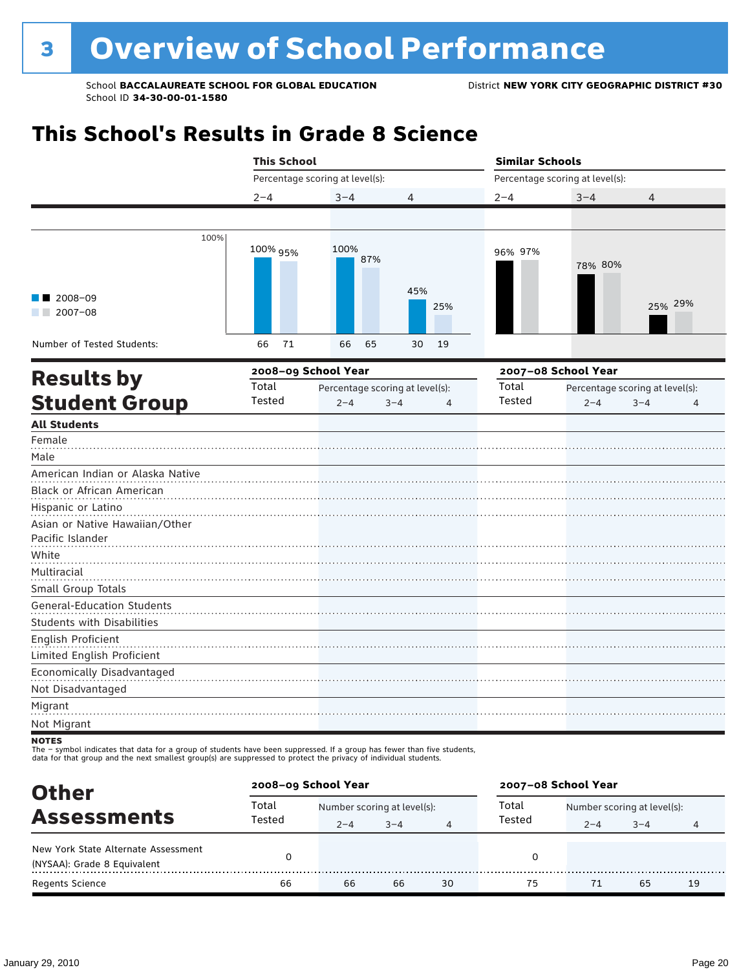# **This School's Results in Grade 8 Science**

|                                                                                                                                         | <b>This School</b> |                                 |                                 | <b>Similar Schools</b> |                                 |                                 |  |
|-----------------------------------------------------------------------------------------------------------------------------------------|--------------------|---------------------------------|---------------------------------|------------------------|---------------------------------|---------------------------------|--|
|                                                                                                                                         |                    | Percentage scoring at level(s): |                                 |                        | Percentage scoring at level(s): |                                 |  |
|                                                                                                                                         | $2 - 4$            | $3 - 4$                         | 4                               | $2 - 4$                | $3 - 4$                         | 4                               |  |
|                                                                                                                                         |                    |                                 |                                 |                        |                                 |                                 |  |
| 100%<br>$\blacksquare$ 2008-09                                                                                                          | 100% 95%           | 100%<br>87%                     | 45%                             | 96% 97%                | 78% 80%                         |                                 |  |
| $\blacksquare$ 2007-08                                                                                                                  |                    |                                 | 25%                             |                        |                                 | 25% 29%                         |  |
| Number of Tested Students:                                                                                                              | 71<br>66           | 66<br>65                        | 19<br>30                        |                        |                                 |                                 |  |
| <b>Results by</b>                                                                                                                       |                    | 2008-09 School Year             |                                 |                        | 2007-08 School Year             |                                 |  |
|                                                                                                                                         | Total              |                                 | Percentage scoring at level(s): | Total                  |                                 | Percentage scoring at level(s): |  |
| <b>Student Group</b>                                                                                                                    | Tested             | $2 - 4$                         | $3 - 4$<br>$\overline{4}$       | Tested                 | $2 - 4$                         | $3 - 4$<br>4                    |  |
| <b>All Students</b>                                                                                                                     |                    |                                 |                                 |                        |                                 |                                 |  |
| Female<br>Male                                                                                                                          |                    |                                 |                                 |                        |                                 |                                 |  |
| American Indian or Alaska Native                                                                                                        |                    |                                 |                                 |                        |                                 |                                 |  |
| Black or African American                                                                                                               |                    |                                 |                                 |                        |                                 |                                 |  |
| Hispanic or Latino                                                                                                                      |                    |                                 |                                 |                        |                                 |                                 |  |
| Asian or Native Hawaiian/Other                                                                                                          |                    |                                 |                                 |                        |                                 |                                 |  |
| Pacific Islander                                                                                                                        |                    |                                 |                                 |                        |                                 |                                 |  |
| White                                                                                                                                   |                    |                                 |                                 |                        |                                 |                                 |  |
| Multiracial                                                                                                                             |                    |                                 |                                 |                        |                                 |                                 |  |
| Small Group Totals                                                                                                                      |                    |                                 |                                 |                        |                                 |                                 |  |
| <b>General-Education Students</b>                                                                                                       |                    |                                 |                                 |                        |                                 |                                 |  |
| <b>Students with Disabilities</b>                                                                                                       |                    |                                 |                                 |                        |                                 |                                 |  |
| English Proficient                                                                                                                      |                    |                                 |                                 |                        |                                 |                                 |  |
| Limited English Proficient                                                                                                              |                    |                                 |                                 |                        |                                 |                                 |  |
| Economically Disadvantaged<br>Not Disadvantaged                                                                                         |                    |                                 |                                 |                        |                                 |                                 |  |
| Migrant<br>Not Migrant                                                                                                                  |                    |                                 |                                 |                        |                                 |                                 |  |
| <b>NOTES</b><br>The - symbol indicates that data for a group of students have been suppressed. If a group has fewer than five students, |                    |                                 |                                 |                        |                                 |                                 |  |

data for that group and the next smallest group(s) are suppressed to protect the privacy of individual students.

| <b>Other</b>                                                       | 2008-09 School Year |                             |         |    | 2007-08 School Year                  |         |         |    |  |
|--------------------------------------------------------------------|---------------------|-----------------------------|---------|----|--------------------------------------|---------|---------|----|--|
| <b>Assessments</b>                                                 | Total               | Number scoring at level(s): |         |    | Total<br>Number scoring at level(s): |         |         |    |  |
|                                                                    | Tested              | $2 - 4$                     | $3 - 4$ | 4  | Tested                               | $2 - 4$ | $3 - 4$ | 4  |  |
| New York State Alternate Assessment<br>(NYSAA): Grade 8 Equivalent |                     |                             |         |    | 0                                    |         |         |    |  |
| <b>Regents Science</b>                                             | 66                  | 66                          | 66      | 30 | 75                                   |         | 65      | 19 |  |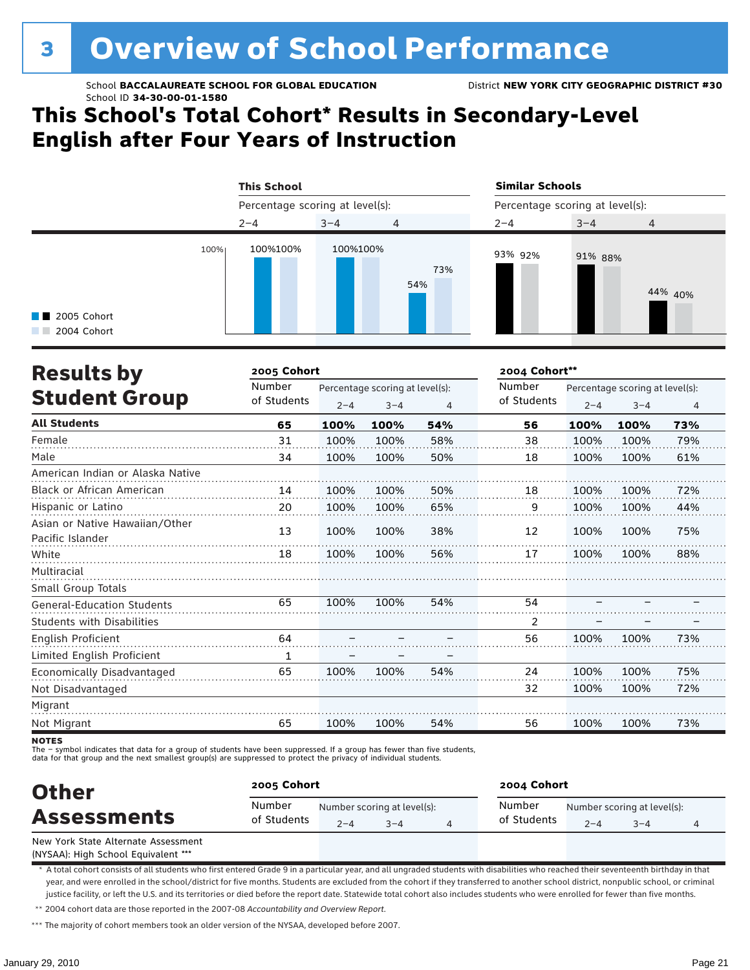# **3 Overview of School Performance**

School **BACCALAUREATE SCHOOL FOR GLOBAL EDUCATION** District **NEW YORK CITY GEOGRAPHIC DISTRICT #30** School ID **34-30-00-01-1580**

# **This School's Total Cohort\* Results in Secondary-Level English after Four Years of Instruction**



| <b>Results by</b>                                  | 2005 Cohort |                                 | 2004 Cohort** |     |             |                                 |         |     |
|----------------------------------------------------|-------------|---------------------------------|---------------|-----|-------------|---------------------------------|---------|-----|
|                                                    | Number      | Percentage scoring at level(s): |               |     | Number      | Percentage scoring at level(s): |         |     |
| <b>Student Group</b>                               | of Students | $2 - 4$                         | $3 - 4$       | 4   | of Students | $2 - 4$                         | $3 - 4$ | 4   |
| <b>All Students</b>                                | 65          | 100%                            | 100%          | 54% | 56          | 100%                            | 100%    | 73% |
| Female                                             | 31          | 100%                            | 100%          | 58% | 38          | 100%                            | 100%    | 79% |
| Male                                               | 34          | 100%                            | 100%          | 50% | 18          | 100%                            | 100%    | 61% |
| American Indian or Alaska Native                   |             |                                 |               |     |             |                                 |         |     |
| <b>Black or African American</b>                   | 14          | 100%                            | 100%          | 50% | 18          | 100%                            | 100%    | 72% |
| Hispanic or Latino                                 | 20          | 100%                            | 100%          | 65% | 9           | 100%                            | 100%    | 44% |
| Asian or Native Hawaiian/Other<br>Pacific Islander | 13          | 100%                            | 100%          | 38% | 12          | 100%                            | 100%    | 75% |
| White                                              | 18          | 100%                            | 100%          | 56% | 17          | 100%                            | 100%    | 88% |
| Multiracial                                        |             |                                 |               |     |             |                                 |         |     |
| Small Group Totals                                 |             |                                 |               |     |             |                                 |         |     |
| <b>General-Education Students</b>                  | 65          | 100%                            | 100%          | 54% | 54          |                                 |         |     |
| <b>Students with Disabilities</b>                  |             |                                 |               |     | 2           |                                 |         |     |
| English Proficient                                 | 64          |                                 |               |     | 56          | 100%                            | 100%    | 73% |
| Limited English Proficient                         | 1           |                                 |               |     |             |                                 |         |     |
| Economically Disadvantaged                         | 65          | 100%                            | 100%          | 54% | 24          | 100%                            | 100%    | 75% |
| Not Disadvantaged                                  |             |                                 |               |     | 32          | 100%                            | 100%    | 72% |
| Migrant                                            |             |                                 |               |     |             |                                 |         |     |
| Not Migrant                                        | 65          | 100%                            | 100%          | 54% | 56          | 100%                            | 100%    | 73% |

**NOTES** 

The – symbol indicates that data for a group of students have been suppressed. If a group has fewer than five students,

data for that group and the next smallest group(s) are suppressed to protect the privacy of individual students.

| <b>Other</b><br><b>Assessments</b>  | 2005 Cohort           |         |                                        | 2004 Cohort           |                                        |         |  |  |
|-------------------------------------|-----------------------|---------|----------------------------------------|-----------------------|----------------------------------------|---------|--|--|
|                                     | Number<br>of Students | $2 - 4$ | Number scoring at level(s):<br>$3 - 4$ | Number<br>of Students | Number scoring at level(s):<br>$2 - 4$ | $3 - 4$ |  |  |
| New York State Alternate Assessment |                       |         |                                        |                       |                                        |         |  |  |

(NYSAA): High School Equivalent \*\*\*

\* A total cohort consists of all students who first entered Grade 9 in a particular year, and all ungraded students with disabilities who reached their seventeenth birthday in that year, and were enrolled in the school/district for five months. Students are excluded from the cohort if they transferred to another school district, nonpublic school, or criminal justice facility, or left the U.S. and its territories or died before the report date. Statewide total cohort also includes students who were enrolled for fewer than five months.

\*\* 2004 cohort data are those reported in the 2007-08 *Accountability and Overview Report*.

\*\*\* The majority of cohort members took an older version of the NYSAA, developed before 2007.